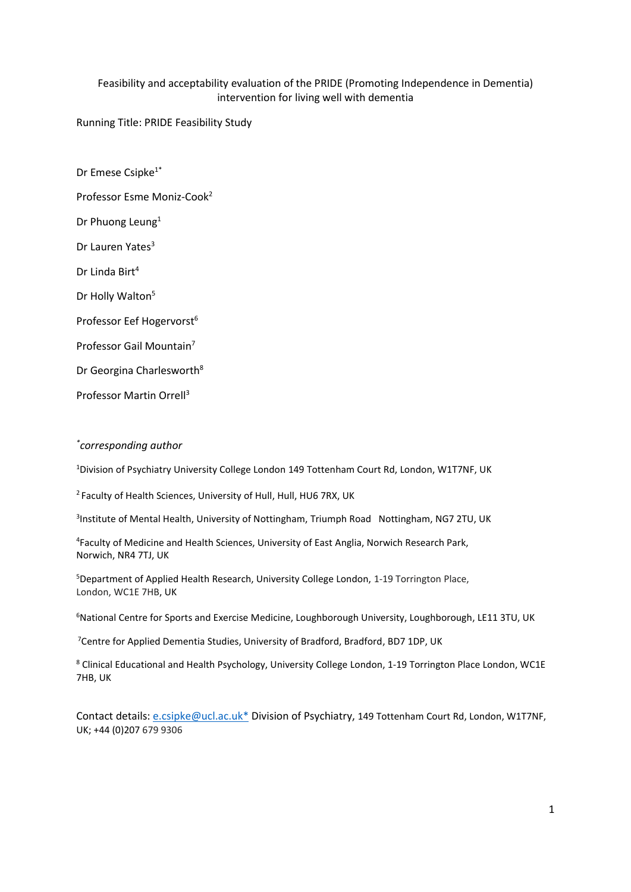# Feasibility and acceptability evaluation of the PRIDE (Promoting Independence in Dementia) intervention for living well with dementia

Running Title: PRIDE Feasibility Study

Dr Emese Csipke<sup>1\*</sup> Professor Esme Moniz-Cook<sup>2</sup> Dr Phuong Leung<sup>1</sup> Dr Lauren Yates<sup>3</sup> Dr Linda Birt<sup>4</sup> Dr Holly Walton<sup>5</sup> Professor Eef Hogervorst<sup>6</sup> Professor Gail Mountain<sup>7</sup> Dr Georgina Charlesworth<sup>8</sup> Professor Martin Orrell<sup>3</sup>

# *\* corresponding author*

<sup>1</sup>Division of Psychiatry University College London 149 Tottenham Court Rd, London, W1T7NF, UK

2 Faculty of Health Sciences, University of Hull, Hull, HU6 7RX, UK

<sup>3</sup>Institute of Mental Health, University of Nottingham, Triumph Road Nottingham, NG7 2TU, UK

4 Faculty of Medicine and Health Sciences, University of East Anglia, Norwich Research Park, Norwich, NR4 7TJ, UK

<sup>5</sup>Department of Applied Health Research, University College London, 1-19 Torrington Place, London, WC1E 7HB, UK

<sup>6</sup>National Centre for Sports and Exercise Medicine, Loughborough University, Loughborough, LE11 3TU, UK

<sup>7</sup>Centre for Applied Dementia Studies, University of Bradford, Bradford, BD7 1DP, UK

<sup>8</sup> Clinical Educational and Health Psychology, University College London, 1-19 Torrington Place London, WC1E 7HB, UK

Contact details: [e.csipke@ucl.ac.uk\\*](mailto:e.csipke@ucl.ac.uk*) Division of Psychiatry, 149 Tottenham Court Rd, London, W1T7NF, UK; +44 (0)207 679 9306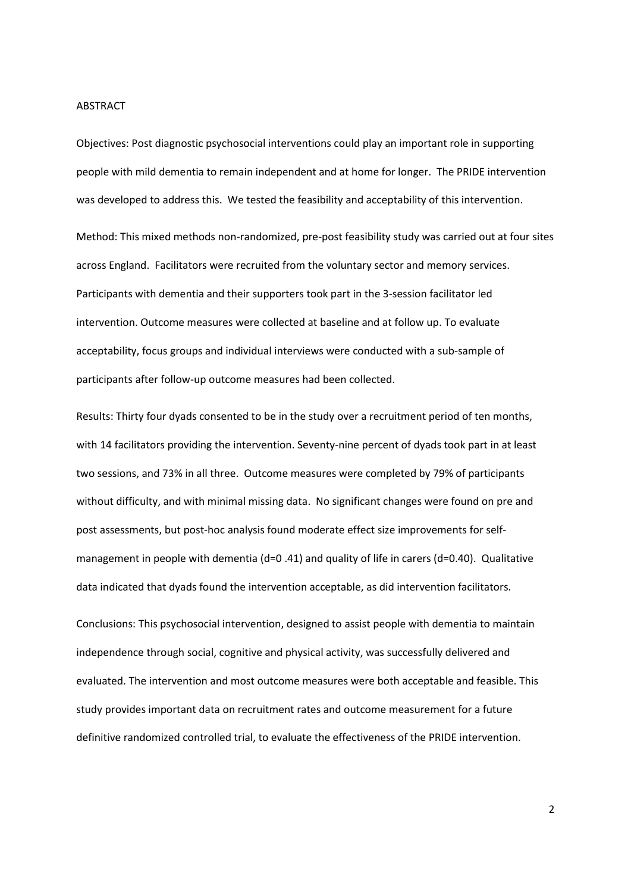#### ABSTRACT

Objectives: Post diagnostic psychosocial interventions could play an important role in supporting people with mild dementia to remain independent and at home for longer. The PRIDE intervention was developed to address this. We tested the feasibility and acceptability of this intervention. Method: This mixed methods non-randomized, pre-post feasibility study was carried out at four sites across England. Facilitators were recruited from the voluntary sector and memory services. Participants with dementia and their supporters took part in the 3-session facilitator led intervention. Outcome measures were collected at baseline and at follow up. To evaluate acceptability, focus groups and individual interviews were conducted with a sub-sample of participants after follow-up outcome measures had been collected.

Results: Thirty four dyads consented to be in the study over a recruitment period of ten months, with 14 facilitators providing the intervention. Seventy-nine percent of dyads took part in at least two sessions, and 73% in all three. Outcome measures were completed by 79% of participants without difficulty, and with minimal missing data. No significant changes were found on pre and post assessments, but post-hoc analysis found moderate effect size improvements for selfmanagement in people with dementia (d=0.41) and quality of life in carers (d=0.40). Qualitative data indicated that dyads found the intervention acceptable, as did intervention facilitators.

Conclusions: This psychosocial intervention, designed to assist people with dementia to maintain independence through social, cognitive and physical activity, was successfully delivered and evaluated. The intervention and most outcome measures were both acceptable and feasible. This study provides important data on recruitment rates and outcome measurement for a future definitive randomized controlled trial, to evaluate the effectiveness of the PRIDE intervention.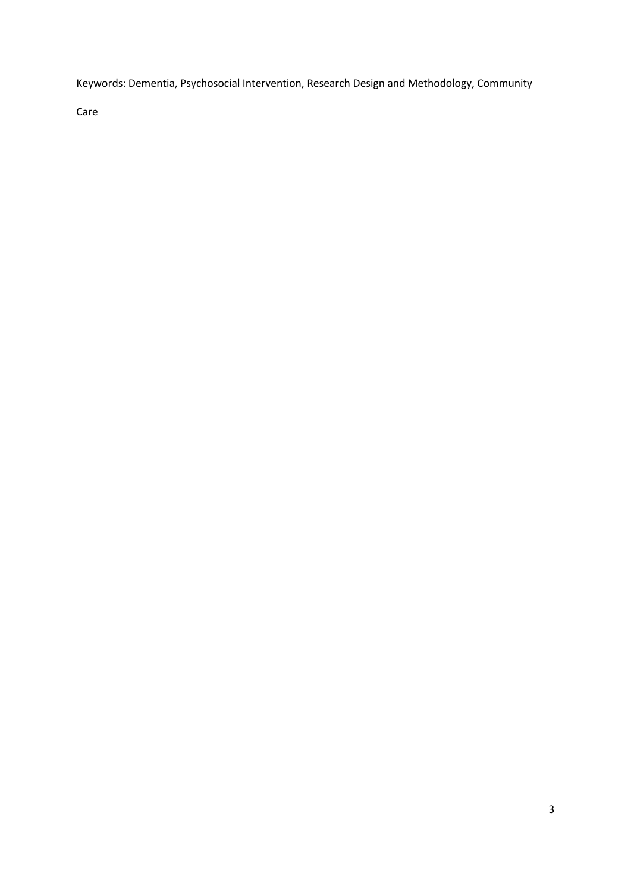Keywords: Dementia, Psychosocial Intervention, Research Design and Methodology, Community

Care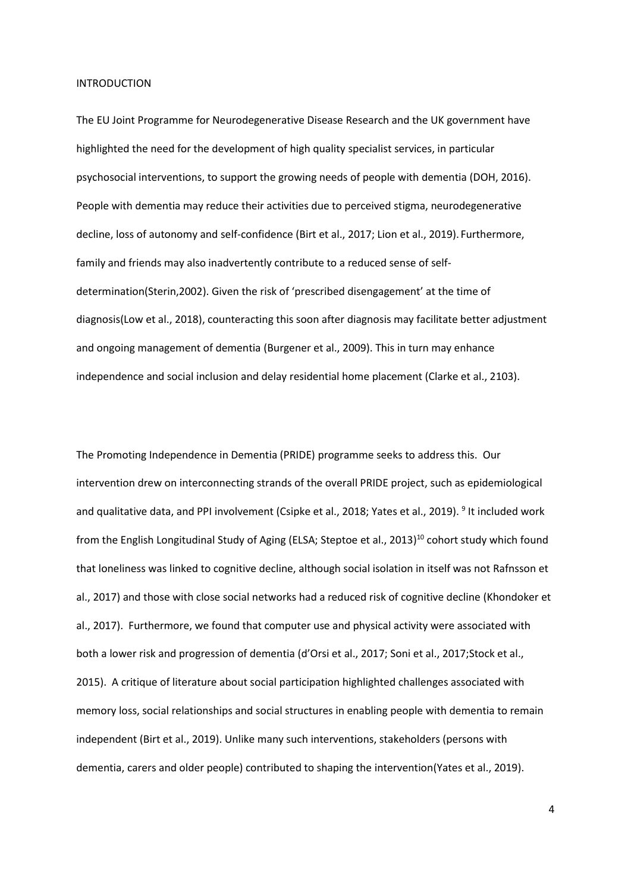#### INTRODUCTION

The EU Joint Programme for Neurodegenerative Disease Research and the UK government have highlighted the need for the development of high quality specialist services, in particular psychosocial interventions, to support the growing needs of people with dementia (DOH, 2016). People with dementia may reduce their activities due to perceived stigma, neurodegenerative decline, loss of autonomy and self-confidence (Birt et al., 2017; Lion et al., 2019). Furthermore, family and friends may also inadvertently contribute to a reduced sense of selfdetermination(Sterin,2002). Given the risk of 'prescribed disengagement' at the time of diagnosis(Low et al., 2018), counteracting this soon after diagnosis may facilitate better adjustment and ongoing management of dementia (Burgener et al., 2009). This in turn may enhance independence and social inclusion and delay residential home placement (Clarke et al., 2103).

The Promoting Independence in Dementia (PRIDE) programme seeks to address this. Our intervention drew on interconnecting strands of the overall PRIDE project, such as epidemiological and qualitative data, and PPI involvement (Csipke et al., 2018; Yates et al., 2019). <sup>9</sup> It included work from the English Longitudinal Study of Aging (ELSA; Steptoe et al., 2013) <sup>10</sup> cohort study which found that loneliness was linked to cognitive decline, although social isolation in itself was not Rafnsson et al., 2017) and those with close social networks had a reduced risk of cognitive decline (Khondoker et al., 2017). Furthermore, we found that computer use and physical activity were associated with both a lower risk and progression of dementia (d'Orsi et al., 2017; Soni et al., 2017;Stock et al., 2015). A critique of literature about social participation highlighted challenges associated with memory loss, social relationships and social structures in enabling people with dementia to remain independent (Birt et al., 2019). Unlike many such interventions, stakeholders (persons with dementia, carers and older people) contributed to shaping the intervention(Yates et al., 2019).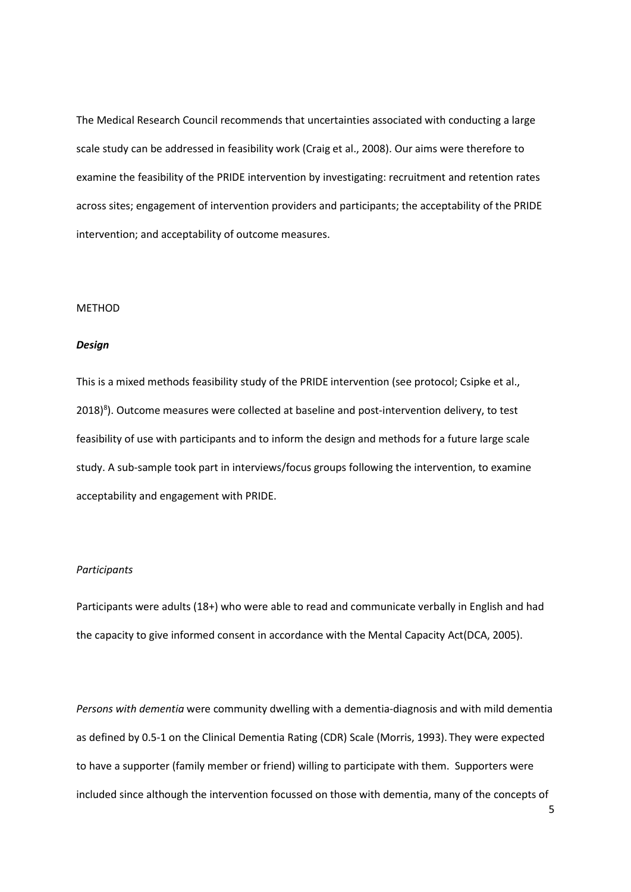The Medical Research Council recommends that uncertainties associated with conducting a large scale study can be addressed in feasibility work (Craig et al., 2008). Our aims were therefore to examine the feasibility of the PRIDE intervention by investigating: recruitment and retention rates across sites; engagement of intervention providers and participants; the acceptability of the PRIDE intervention; and acceptability of outcome measures.

## METHOD

## *Design*

This is a mixed methods feasibility study of the PRIDE intervention (see protocol; Csipke et al.,  $2018)^8$ ). Outcome measures were collected at baseline and post-intervention delivery, to test feasibility of use with participants and to inform the design and methods for a future large scale study. A sub-sample took part in interviews/focus groups following the intervention, to examine acceptability and engagement with PRIDE.

#### *Participants*

Participants were adults (18+) who were able to read and communicate verbally in English and had the capacity to give informed consent in accordance with the Mental Capacity Act(DCA, 2005).

*Persons with dementia* were community dwelling with a dementia-diagnosis and with mild dementia as defined by 0.5-1 on the Clinical Dementia Rating (CDR) Scale (Morris, 1993). They were expected to have a supporter (family member or friend) willing to participate with them. Supporters were included since although the intervention focussed on those with dementia, many of the concepts of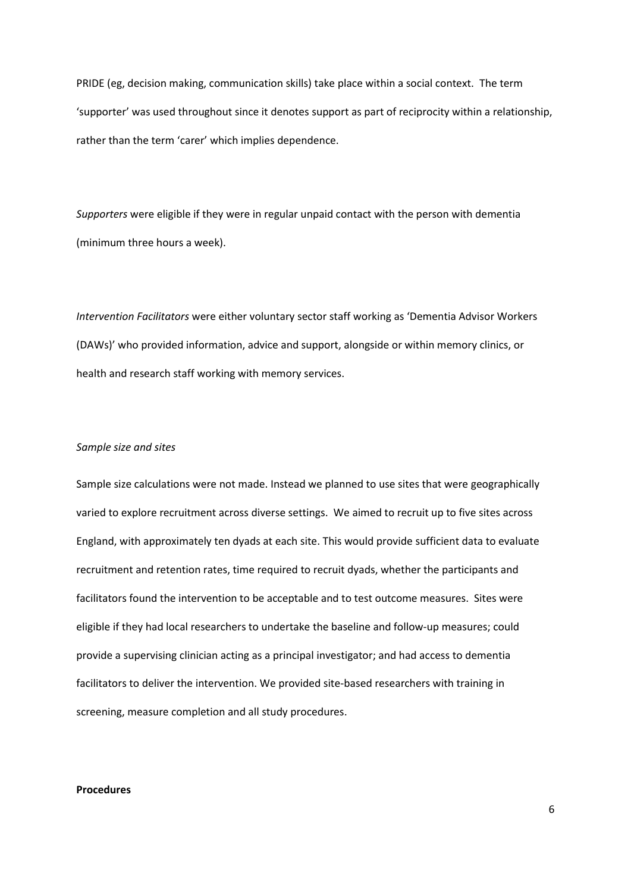PRIDE (eg, decision making, communication skills) take place within a social context. The term 'supporter' was used throughout since it denotes support as part of reciprocity within a relationship, rather than the term 'carer' which implies dependence.

*Supporters* were eligible if they were in regular unpaid contact with the person with dementia (minimum three hours a week).

*Intervention Facilitators* were either voluntary sector staff working as 'Dementia Advisor Workers (DAWs)' who provided information, advice and support, alongside or within memory clinics, or health and research staff working with memory services.

## *Sample size and sites*

Sample size calculations were not made. Instead we planned to use sites that were geographically varied to explore recruitment across diverse settings. We aimed to recruit up to five sites across England, with approximately ten dyads at each site. This would provide sufficient data to evaluate recruitment and retention rates, time required to recruit dyads, whether the participants and facilitators found the intervention to be acceptable and to test outcome measures. Sites were eligible if they had local researchers to undertake the baseline and follow-up measures; could provide a supervising clinician acting as a principal investigator; and had access to dementia facilitators to deliver the intervention. We provided site-based researchers with training in screening, measure completion and all study procedures.

## **Procedures**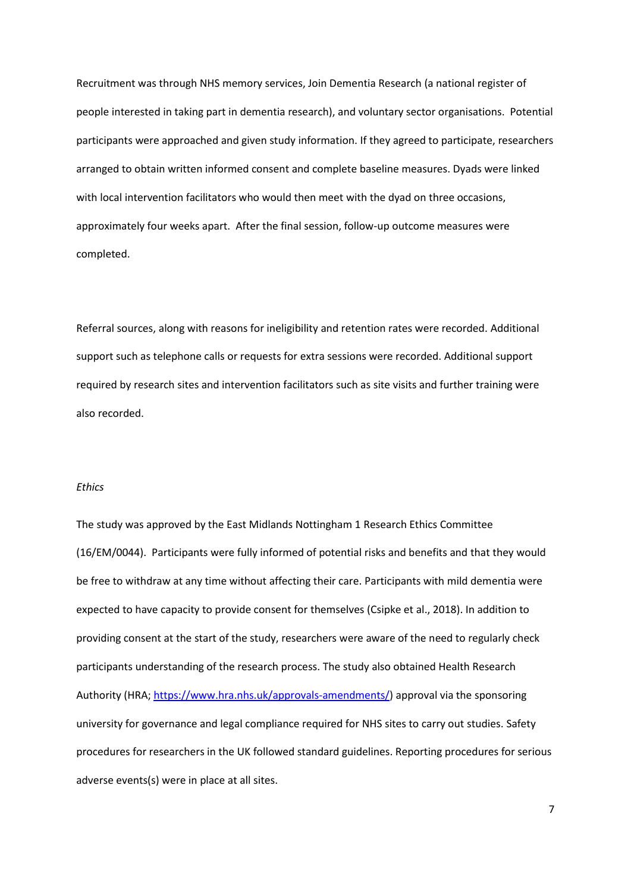Recruitment was through NHS memory services, Join Dementia Research (a national register of people interested in taking part in dementia research), and voluntary sector organisations. Potential participants were approached and given study information. If they agreed to participate, researchers arranged to obtain written informed consent and complete baseline measures. Dyads were linked with local intervention facilitators who would then meet with the dyad on three occasions, approximately four weeks apart. After the final session, follow-up outcome measures were completed.

Referral sources, along with reasons for ineligibility and retention rates were recorded. Additional support such as telephone calls or requests for extra sessions were recorded. Additional support required by research sites and intervention facilitators such as site visits and further training were also recorded.

## *Ethics*

The study was approved by the East Midlands Nottingham 1 Research Ethics Committee (16/EM/0044). Participants were fully informed of potential risks and benefits and that they would be free to withdraw at any time without affecting their care. Participants with mild dementia were expected to have capacity to provide consent for themselves (Csipke et al., 2018). In addition to providing consent at the start of the study, researchers were aware of the need to regularly check participants understanding of the research process. The study also obtained Health Research Authority (HRA; [https://www.hra.nhs.uk/approvals-amendments/\)](https://www.hra.nhs.uk/approvals-amendments/) approval via the sponsoring university for governance and legal compliance required for NHS sites to carry out studies. Safety procedures for researchers in the UK followed standard guidelines. Reporting procedures for serious adverse events(s) were in place at all sites.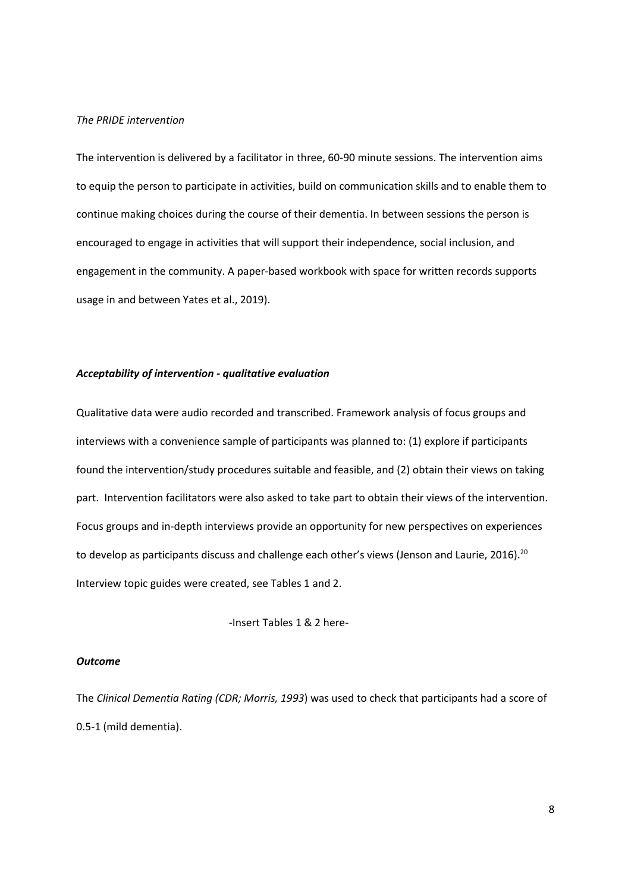## *The PRIDE intervention*

The intervention is delivered by a facilitator in three, 60-90 minute sessions. The intervention aims to equip the person to participate in activities, build on communication skills and to enable them to continue making choices during the course of their dementia. In between sessions the person is encouraged to engage in activities that will support their independence, social inclusion, and engagement in the community. A paper-based workbook with space for written records supports usage in and between Yates et al., 2019).

## *Acceptability of intervention - qualitative evaluation*

Qualitative data were audio recorded and transcribed. Framework analysis of focus groups and interviews with a convenience sample of participants was planned to: (1) explore if participants found the intervention/study procedures suitable and feasible, and (2) obtain their views on taking part. Intervention facilitators were also asked to take part to obtain their views of the intervention. Focus groups and in-depth interviews provide an opportunity for new perspectives on experiences to develop as participants discuss and challenge each other's views (Jenson and Laurie, 2016).<sup>20</sup> Interview topic guides were created, see Tables 1 and 2.

-Insert Tables 1 & 2 here-

## *Outcome*

The *Clinical Dementia Rating (CDR; Morris, 1993*) was used to check that participants had a score of 0.5-1 (mild dementia).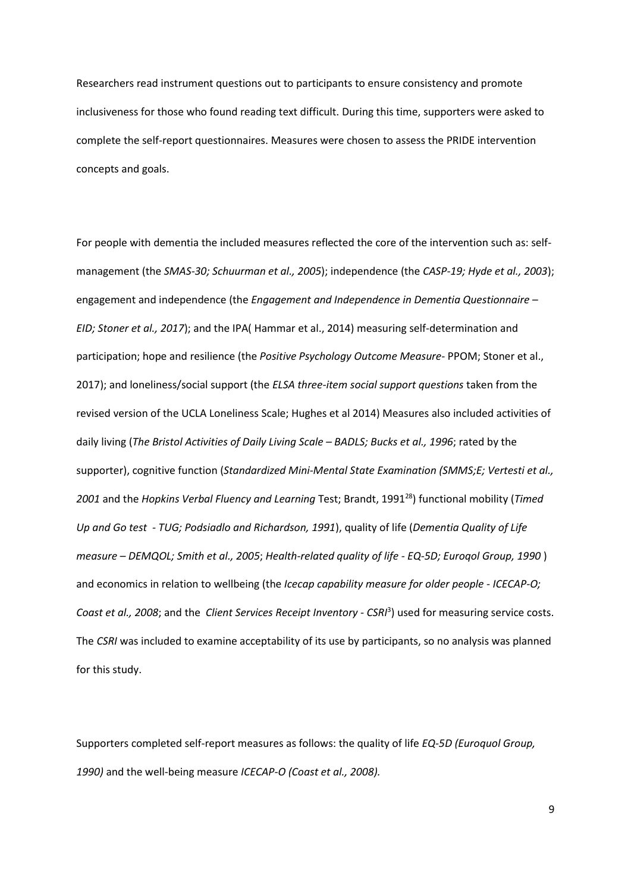Researchers read instrument questions out to participants to ensure consistency and promote inclusiveness for those who found reading text difficult. During this time, supporters were asked to complete the self-report questionnaires. Measures were chosen to assess the PRIDE intervention concepts and goals.

For people with dementia the included measures reflected the core of the intervention such as: selfmanagement (the *SMAS-30; Schuurman et al., 2005*); independence (the *CASP-19; Hyde et al., 2003*); engagement and independence (the *Engagement and Independence in Dementia Questionnaire – EID; Stoner et al., 2017*); and the IPA( Hammar et al., 2014) measuring self-determination and participation; hope and resilience (the *Positive Psychology Outcome Measure-* PPOM; Stoner et al., 2017); and loneliness/social support (the *ELSA three-item social support questions* taken from the revised version of the UCLA Loneliness Scale; Hughes et al 2014) Measures also included activities of daily living (*The Bristol Activities of Daily Living Scale – BADLS; Bucks et al., 1996*; rated by the supporter), cognitive function (*Standardized Mini-Mental State Examination (SMMS;E; Vertesti et al.,* 2001 and the *Hopkins Verbal Fluency and Learning* Test; Brandt, 1991<sup>28</sup>) functional mobility (*Timed Up and Go test - TUG; Podsiadlo and Richardson, 1991*), quality of life (*Dementia Quality of Life measure – DEMQOL; Smith et al., 2005*; *Health-related quality of life - EQ-5D; Euroqol Group, 1990* ) and economics in relation to wellbeing (the *Icecap capability measure for older people* - *ICECAP-O; Coast et al., 2008*; and the *Client Services Receipt Inventory - CSRI* 3 ) used for measuring service costs. The *CSRI* was included to examine acceptability of its use by participants, so no analysis was planned for this study.

Supporters completed self-report measures as follows: the quality of life *EQ-5D (Euroquol Group, 1990)* and the well-being measure *ICECAP-O (Coast et al., 2008).*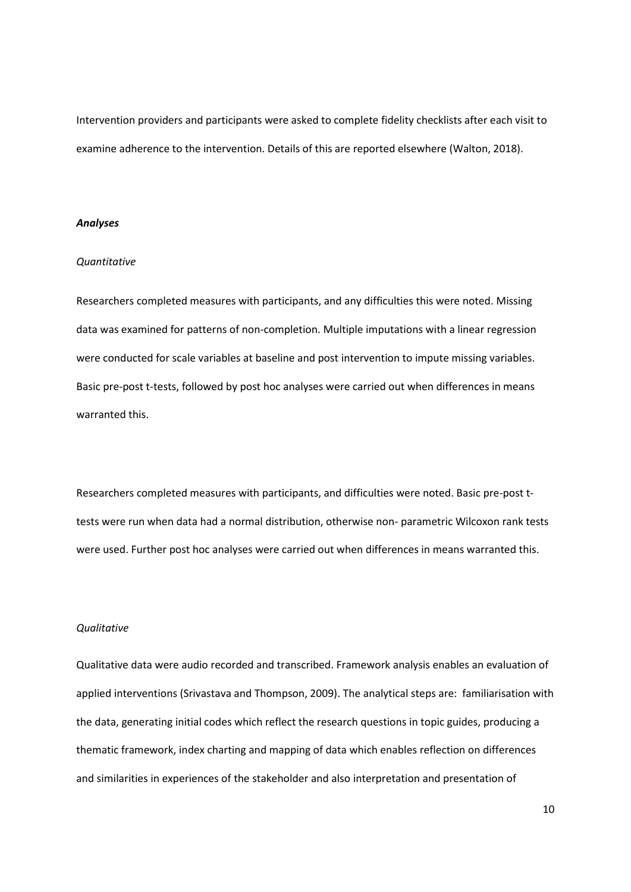Intervention providers and participants were asked to complete fidelity checklists after each visit to examine adherence to the intervention. Details of this are reported elsewhere (Walton, 2018).

#### *Analyses*

## *Quantitative*

Researchers completed measures with participants, and any difficulties this were noted. Missing data was examined for patterns of non-completion. Multiple imputations with a linear regression were conducted for scale variables at baseline and post intervention to impute missing variables. Basic pre-post t-tests, followed by post hoc analyses were carried out when differences in means warranted this.

Researchers completed measures with participants, and difficulties were noted. Basic pre-post ttests were run when data had a normal distribution, otherwise non- parametric Wilcoxon rank tests were used. Further post hoc analyses were carried out when differences in means warranted this.

#### *Qualitative*

Qualitative data were audio recorded and transcribed. Framework analysis enables an evaluation of applied interventions (Srivastava and Thompson, 2009). The analytical steps are: familiarisation with the data, generating initial codes which reflect the research questions in topic guides, producing a thematic framework, index charting and mapping of data which enables reflection on differences and similarities in experiences of the stakeholder and also interpretation and presentation of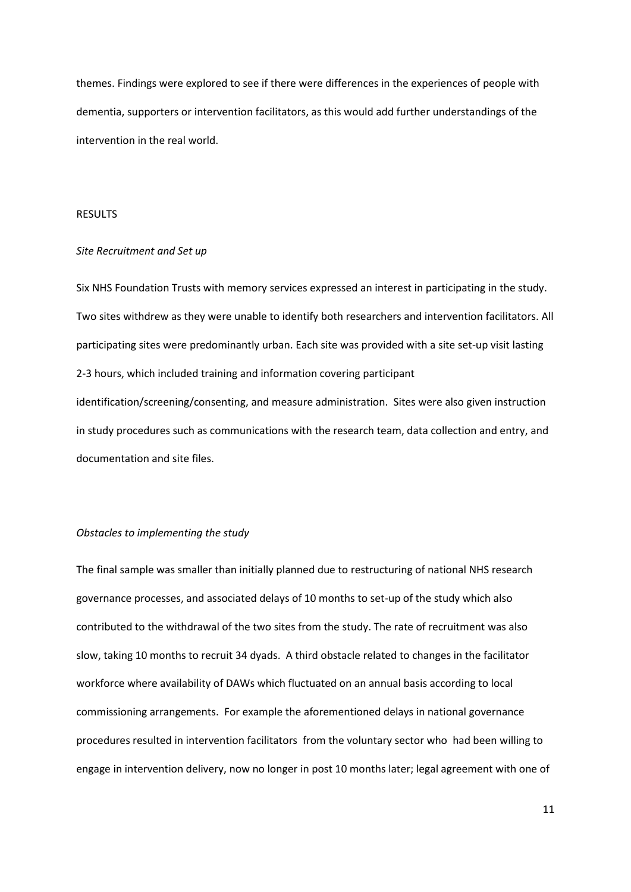themes. Findings were explored to see if there were differences in the experiences of people with dementia, supporters or intervention facilitators, as this would add further understandings of the intervention in the real world.

## RESULTS

#### *Site Recruitment and Set up*

Six NHS Foundation Trusts with memory services expressed an interest in participating in the study. Two sites withdrew as they were unable to identify both researchers and intervention facilitators. All participating sites were predominantly urban. Each site was provided with a site set-up visit lasting 2-3 hours, which included training and information covering participant identification/screening/consenting, and measure administration. Sites were also given instruction in study procedures such as communications with the research team, data collection and entry, and documentation and site files.

## *Obstacles to implementing the study*

The final sample was smaller than initially planned due to restructuring of national NHS research governance processes, and associated delays of 10 months to set-up of the study which also contributed to the withdrawal of the two sites from the study. The rate of recruitment was also slow, taking 10 months to recruit 34 dyads. A third obstacle related to changes in the facilitator workforce where availability of DAWs which fluctuated on an annual basis according to local commissioning arrangements. For example the aforementioned delays in national governance procedures resulted in intervention facilitators from the voluntary sector who had been willing to engage in intervention delivery, now no longer in post 10 months later; legal agreement with one of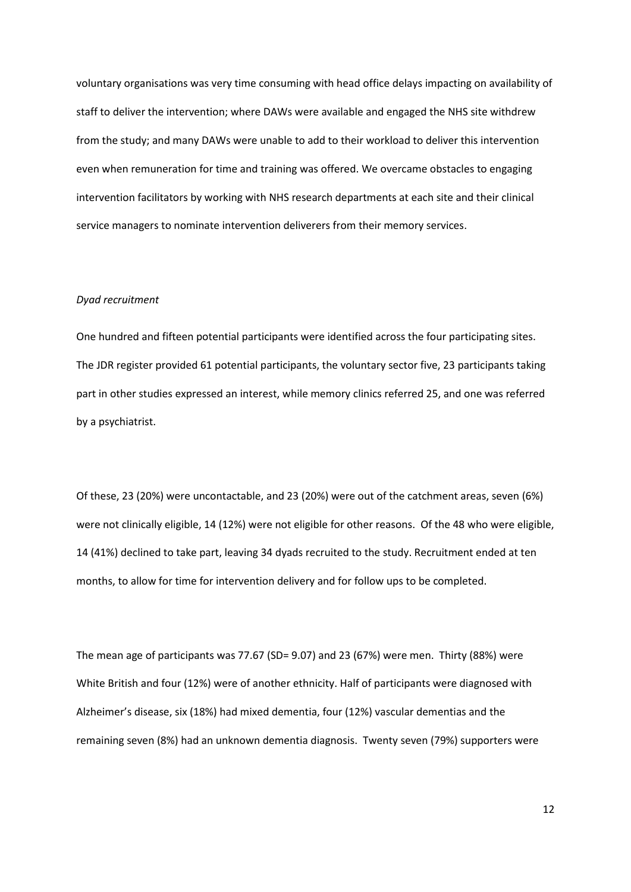voluntary organisations was very time consuming with head office delays impacting on availability of staff to deliver the intervention; where DAWs were available and engaged the NHS site withdrew from the study; and many DAWs were unable to add to their workload to deliver this intervention even when remuneration for time and training was offered. We overcame obstacles to engaging intervention facilitators by working with NHS research departments at each site and their clinical service managers to nominate intervention deliverers from their memory services.

#### *Dyad recruitment*

One hundred and fifteen potential participants were identified across the four participating sites. The JDR register provided 61 potential participants, the voluntary sector five, 23 participants taking part in other studies expressed an interest, while memory clinics referred 25, and one was referred by a psychiatrist.

Of these, 23 (20%) were uncontactable, and 23 (20%) were out of the catchment areas, seven (6%) were not clinically eligible, 14 (12%) were not eligible for other reasons. Of the 48 who were eligible, 14 (41%) declined to take part, leaving 34 dyads recruited to the study. Recruitment ended at ten months, to allow for time for intervention delivery and for follow ups to be completed.

The mean age of participants was 77.67 (SD= 9.07) and 23 (67%) were men. Thirty (88%) were White British and four (12%) were of another ethnicity. Half of participants were diagnosed with Alzheimer's disease, six (18%) had mixed dementia, four (12%) vascular dementias and the remaining seven (8%) had an unknown dementia diagnosis. Twenty seven (79%) supporters were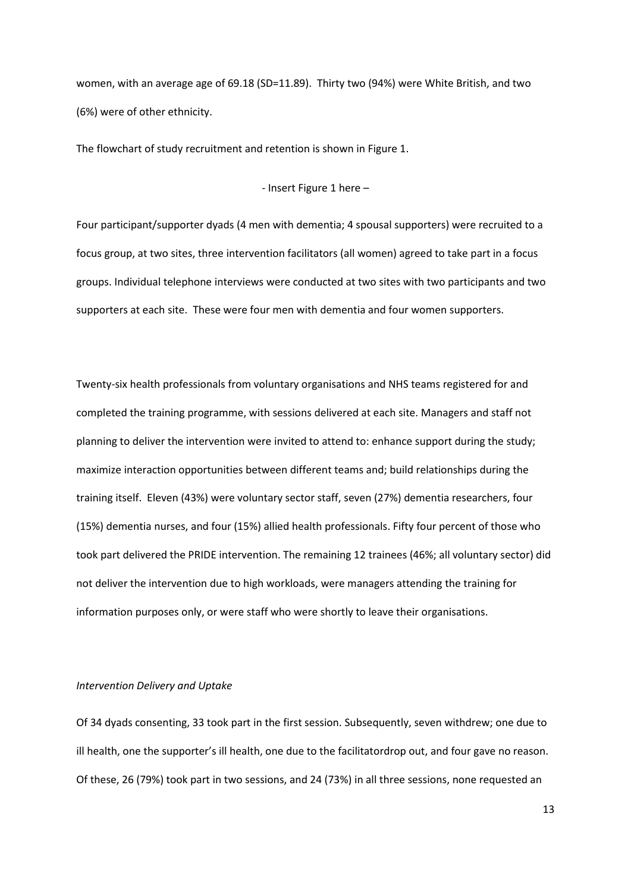women, with an average age of 69.18 (SD=11.89). Thirty two (94%) were White British, and two (6%) were of other ethnicity.

The flowchart of study recruitment and retention is shown in Figure 1.

- Insert Figure 1 here –

Four participant/supporter dyads (4 men with dementia; 4 spousal supporters) were recruited to a focus group, at two sites, three intervention facilitators (all women) agreed to take part in a focus groups. Individual telephone interviews were conducted at two sites with two participants and two supporters at each site. These were four men with dementia and four women supporters.

Twenty-six health professionals from voluntary organisations and NHS teams registered for and completed the training programme, with sessions delivered at each site. Managers and staff not planning to deliver the intervention were invited to attend to: enhance support during the study; maximize interaction opportunities between different teams and; build relationships during the training itself. Eleven (43%) were voluntary sector staff, seven (27%) dementia researchers, four (15%) dementia nurses, and four (15%) allied health professionals. Fifty four percent of those who took part delivered the PRIDE intervention. The remaining 12 trainees (46%; all voluntary sector) did not deliver the intervention due to high workloads, were managers attending the training for information purposes only, or were staff who were shortly to leave their organisations.

#### *Intervention Delivery and Uptake*

Of 34 dyads consenting, 33 took part in the first session. Subsequently, seven withdrew; one due to ill health, one the supporter's ill health, one due to the facilitatordrop out, and four gave no reason. Of these, 26 (79%) took part in two sessions, and 24 (73%) in all three sessions, none requested an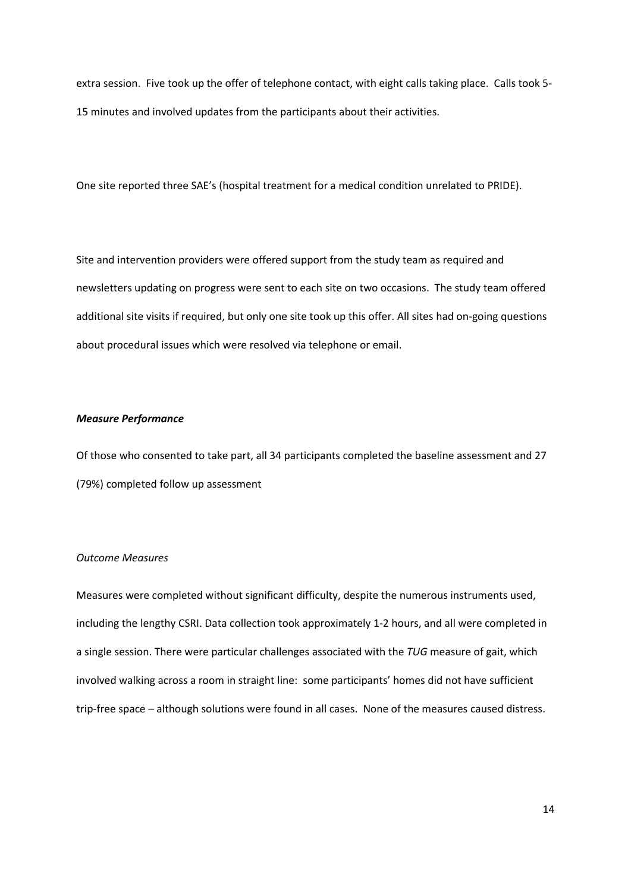extra session. Five took up the offer of telephone contact, with eight calls taking place. Calls took 5- 15 minutes and involved updates from the participants about their activities.

One site reported three SAE's (hospital treatment for a medical condition unrelated to PRIDE).

Site and intervention providers were offered support from the study team as required and newsletters updating on progress were sent to each site on two occasions. The study team offered additional site visits if required, but only one site took up this offer. All sites had on-going questions about procedural issues which were resolved via telephone or email.

## *Measure Performance*

Of those who consented to take part, all 34 participants completed the baseline assessment and 27 (79%) completed follow up assessment

#### *Outcome Measures*

Measures were completed without significant difficulty, despite the numerous instruments used, including the lengthy CSRI. Data collection took approximately 1-2 hours, and all were completed in a single session. There were particular challenges associated with the *TUG* measure of gait, which involved walking across a room in straight line: some participants' homes did not have sufficient trip-free space – although solutions were found in all cases. None of the measures caused distress.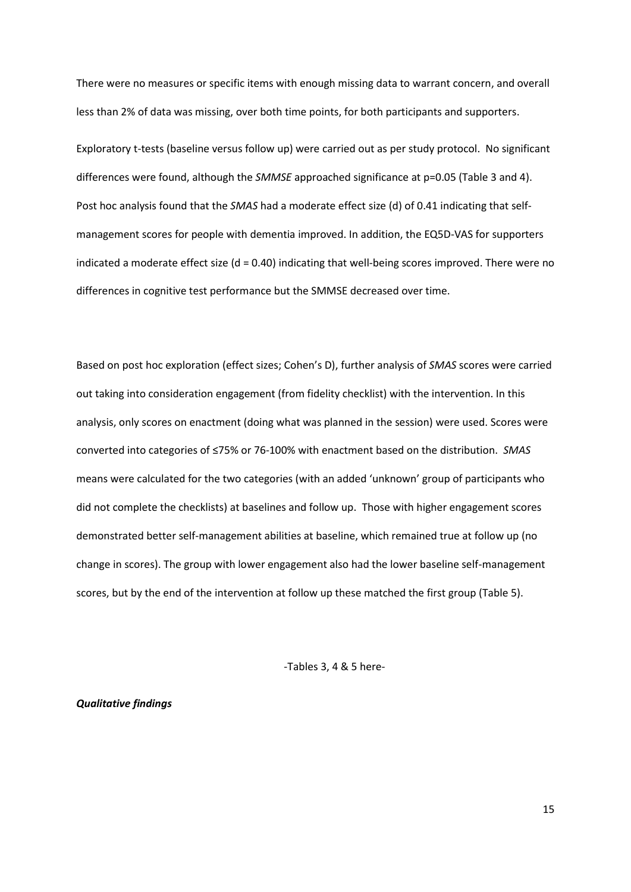There were no measures or specific items with enough missing data to warrant concern, and overall less than 2% of data was missing, over both time points, for both participants and supporters.

Exploratory t-tests (baseline versus follow up) were carried out as per study protocol. No significant differences were found, although the *SMMSE* approached significance at p=0.05 (Table 3 and 4). Post hoc analysis found that the *SMAS* had a moderate effect size (d) of 0.41 indicating that selfmanagement scores for people with dementia improved. In addition, the EQ5D-VAS for supporters indicated a moderate effect size (d = 0.40) indicating that well-being scores improved. There were no differences in cognitive test performance but the SMMSE decreased over time.

Based on post hoc exploration (effect sizes; Cohen's D), further analysis of *SMAS* scores were carried out taking into consideration engagement (from fidelity checklist) with the intervention. In this analysis, only scores on enactment (doing what was planned in the session) were used. Scores were converted into categories of ≤75% or 76-100% with enactment based on the distribution. *SMAS* means were calculated for the two categories (with an added 'unknown' group of participants who did not complete the checklists) at baselines and follow up. Those with higher engagement scores demonstrated better self-management abilities at baseline, which remained true at follow up (no change in scores). The group with lower engagement also had the lower baseline self-management scores, but by the end of the intervention at follow up these matched the first group (Table 5).

-Tables 3, 4 & 5 here-

*Qualitative findings*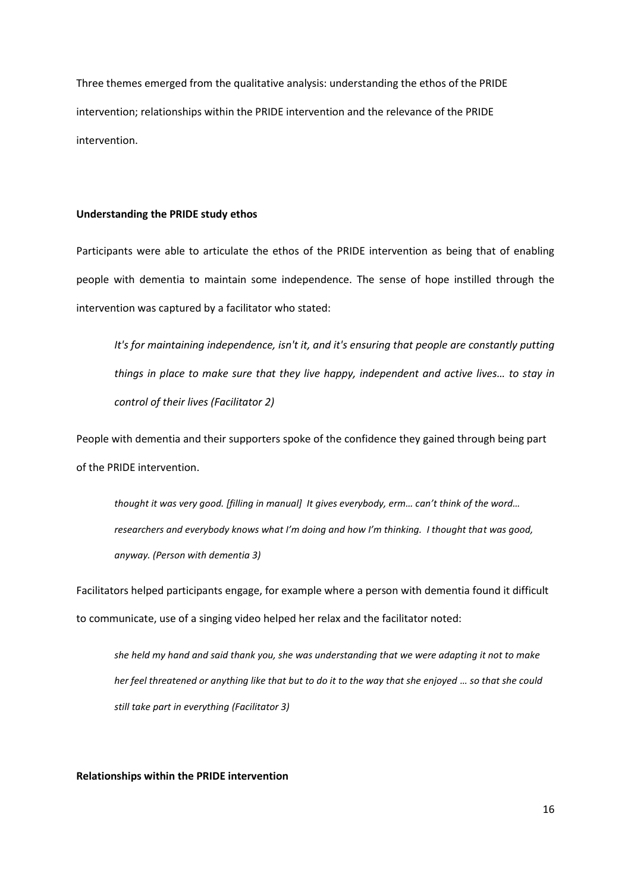Three themes emerged from the qualitative analysis: understanding the ethos of the PRIDE intervention; relationships within the PRIDE intervention and the relevance of the PRIDE intervention.

## **Understanding the PRIDE study ethos**

Participants were able to articulate the ethos of the PRIDE intervention as being that of enabling people with dementia to maintain some independence. The sense of hope instilled through the intervention was captured by a facilitator who stated:

*It's for maintaining independence, isn't it, and it's ensuring that people are constantly putting things in place to make sure that they live happy, independent and active lives… to stay in control of their lives (Facilitator 2)*

People with dementia and their supporters spoke of the confidence they gained through being part of the PRIDE intervention.

*thought it was very good. [filling in manual] It gives everybody, erm… can't think of the word… researchers and everybody knows what I'm doing and how I'm thinking. I thought that was good, anyway. (Person with dementia 3)*

Facilitators helped participants engage, for example where a person with dementia found it difficult to communicate, use of a singing video helped her relax and the facilitator noted:

*she held my hand and said thank you, she was understanding that we were adapting it not to make her feel threatened or anything like that but to do it to the way that she enjoyed … so that she could still take part in everything (Facilitator 3)*

**Relationships within the PRIDE intervention**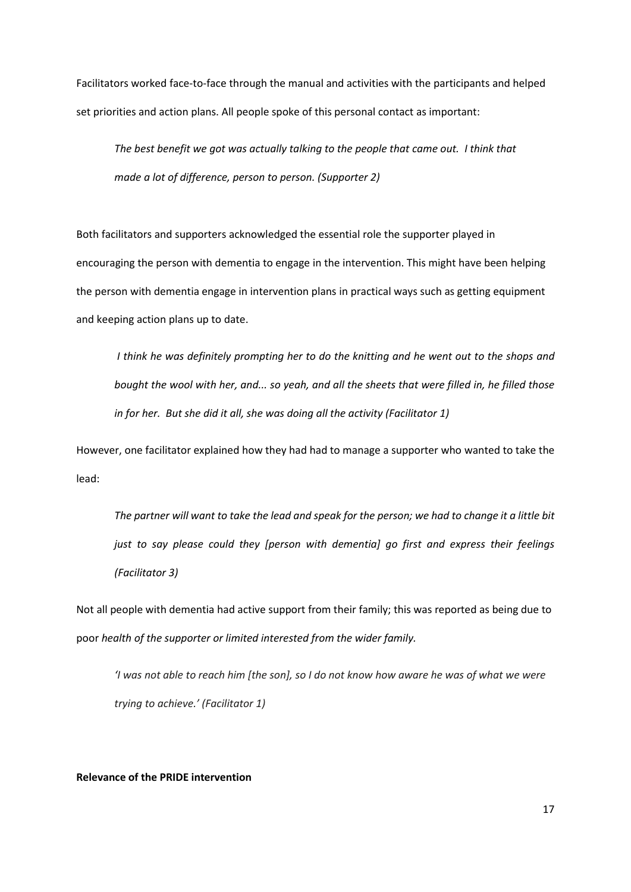Facilitators worked face-to-face through the manual and activities with the participants and helped set priorities and action plans. All people spoke of this personal contact as important:

*The best benefit we got was actually talking to the people that came out. I think that made a lot of difference, person to person. (Supporter 2)*

Both facilitators and supporters acknowledged the essential role the supporter played in encouraging the person with dementia to engage in the intervention. This might have been helping the person with dementia engage in intervention plans in practical ways such as getting equipment and keeping action plans up to date.

*I think he was definitely prompting her to do the knitting and he went out to the shops and bought the wool with her, and... so yeah, and all the sheets that were filled in, he filled those in for her. But she did it all, she was doing all the activity (Facilitator 1)*

However, one facilitator explained how they had had to manage a supporter who wanted to take the lead:

*The partner will want to take the lead and speak for the person; we had to change it a little bit just to say please could they [person with dementia] go first and express their feelings (Facilitator 3)*

Not all people with dementia had active support from their family; this was reported as being due to poor *health of the supporter or limited interested from the wider family.*

'I was not able to reach him [the son], so I do not know how aware he was of what we were *trying to achieve.' (Facilitator 1)*

## **Relevance of the PRIDE intervention**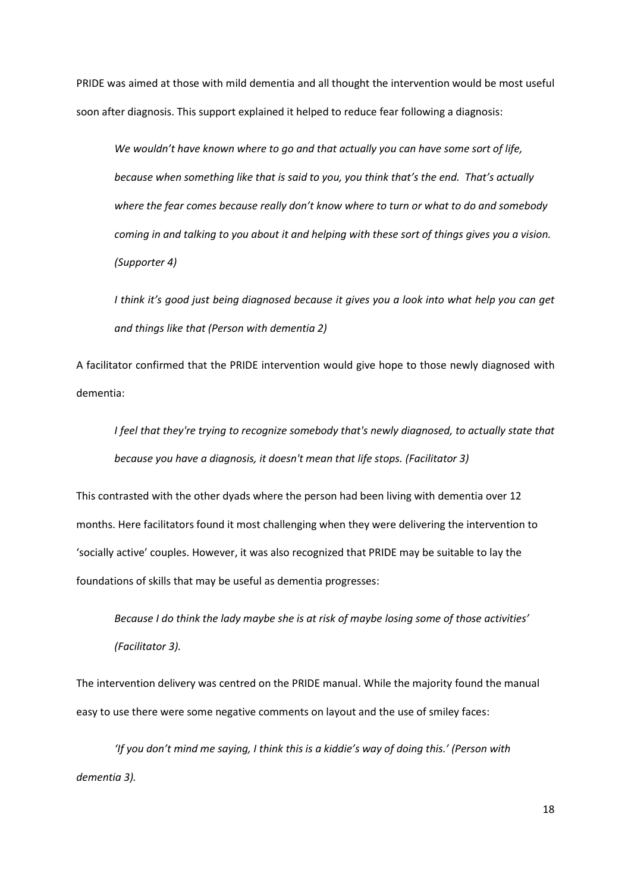PRIDE was aimed at those with mild dementia and all thought the intervention would be most useful soon after diagnosis. This support explained it helped to reduce fear following a diagnosis:

*We wouldn't have known where to go and that actually you can have some sort of life, because when something like that is said to you, you think that's the end. That's actually where the fear comes because really don't know where to turn or what to do and somebody coming in and talking to you about it and helping with these sort of things gives you a vision. (Supporter 4)*

*I think it's good just being diagnosed because it gives you a look into what help you can get and things like that (Person with dementia 2)*

A facilitator confirmed that the PRIDE intervention would give hope to those newly diagnosed with dementia:

*I feel that they're trying to recognize somebody that's newly diagnosed, to actually state that because you have a diagnosis, it doesn't mean that life stops. (Facilitator 3)*

This contrasted with the other dyads where the person had been living with dementia over 12 months. Here facilitators found it most challenging when they were delivering the intervention to 'socially active' couples. However, it was also recognized that PRIDE may be suitable to lay the foundations of skills that may be useful as dementia progresses:

*Because I do think the lady maybe she is at risk of maybe losing some of those activities' (Facilitator 3).*

The intervention delivery was centred on the PRIDE manual. While the majority found the manual easy to use there were some negative comments on layout and the use of smiley faces:

*'If you don't mind me saying, I think this is a kiddie's way of doing this.' (Person with dementia 3).*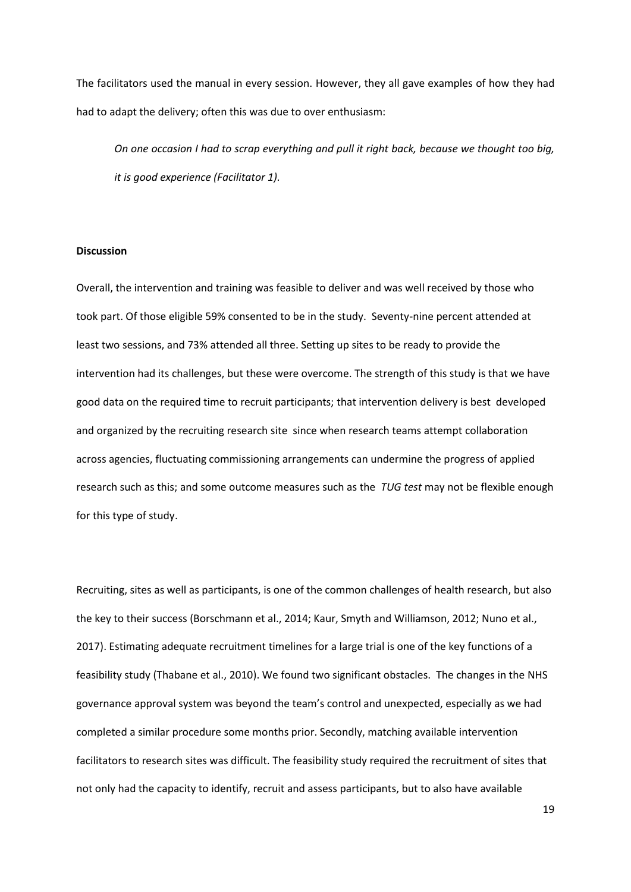The facilitators used the manual in every session. However, they all gave examples of how they had had to adapt the delivery; often this was due to over enthusiasm:

*On one occasion I had to scrap everything and pull it right back, because we thought too big, it is good experience (Facilitator 1).*

## **Discussion**

Overall, the intervention and training was feasible to deliver and was well received by those who took part. Of those eligible 59% consented to be in the study. Seventy-nine percent attended at least two sessions, and 73% attended all three. Setting up sites to be ready to provide the intervention had its challenges, but these were overcome. The strength of this study is that we have good data on the required time to recruit participants; that intervention delivery is best developed and organized by the recruiting research site since when research teams attempt collaboration across agencies, fluctuating commissioning arrangements can undermine the progress of applied research such as this; and some outcome measures such as the *TUG test* may not be flexible enough for this type of study.

Recruiting, sites as well as participants, is one of the common challenges of health research, but also the key to their success (Borschmann et al., 2014; Kaur, Smyth and Williamson, 2012; Nuno et al., 2017). Estimating adequate recruitment timelines for a large trial is one of the key functions of a feasibility study (Thabane et al., 2010). We found two significant obstacles. The changes in the NHS governance approval system was beyond the team's control and unexpected, especially as we had completed a similar procedure some months prior. Secondly, matching available intervention facilitators to research sites was difficult. The feasibility study required the recruitment of sites that not only had the capacity to identify, recruit and assess participants, but to also have available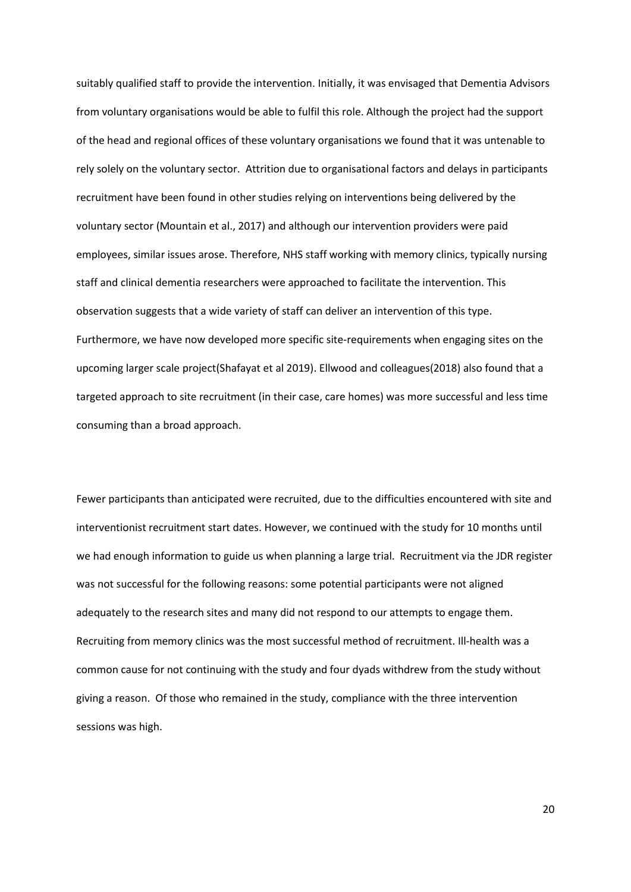suitably qualified staff to provide the intervention. Initially, it was envisaged that Dementia Advisors from voluntary organisations would be able to fulfil this role. Although the project had the support of the head and regional offices of these voluntary organisations we found that it was untenable to rely solely on the voluntary sector. Attrition due to organisational factors and delays in participants recruitment have been found in other studies relying on interventions being delivered by the voluntary sector (Mountain et al., 2017) and although our intervention providers were paid employees, similar issues arose. Therefore, NHS staff working with memory clinics, typically nursing staff and clinical dementia researchers were approached to facilitate the intervention. This observation suggests that a wide variety of staff can deliver an intervention of this type. Furthermore, we have now developed more specific site-requirements when engaging sites on the upcoming larger scale project(Shafayat et al 2019). Ellwood and colleagues(2018) also found that a targeted approach to site recruitment (in their case, care homes) was more successful and less time consuming than a broad approach.

Fewer participants than anticipated were recruited, due to the difficulties encountered with site and interventionist recruitment start dates. However, we continued with the study for 10 months until we had enough information to guide us when planning a large trial. Recruitment via the JDR register was not successful for the following reasons: some potential participants were not aligned adequately to the research sites and many did not respond to our attempts to engage them. Recruiting from memory clinics was the most successful method of recruitment. Ill-health was a common cause for not continuing with the study and four dyads withdrew from the study without giving a reason. Of those who remained in the study, compliance with the three intervention sessions was high.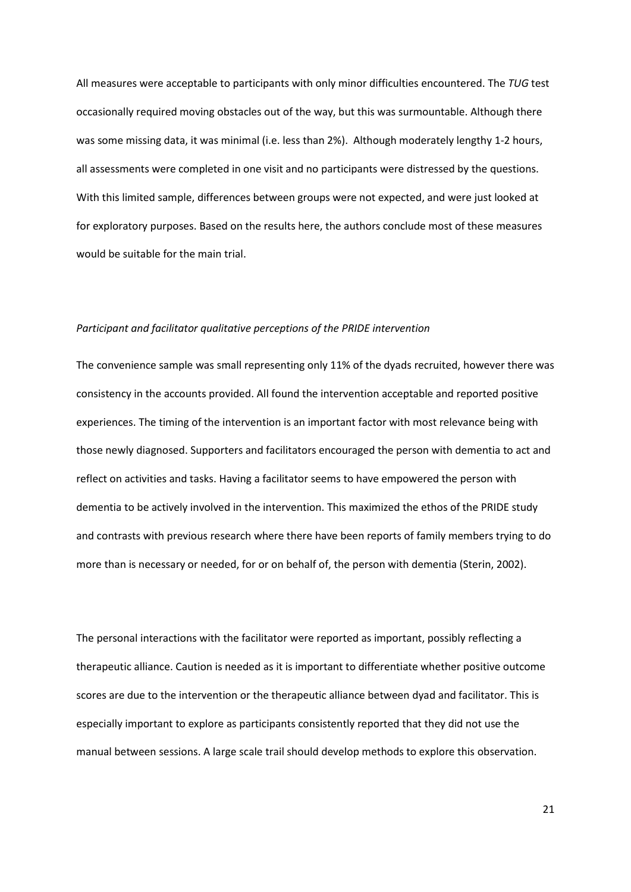All measures were acceptable to participants with only minor difficulties encountered. The *TUG* test occasionally required moving obstacles out of the way, but this was surmountable. Although there was some missing data, it was minimal (i.e. less than 2%). Although moderately lengthy 1-2 hours, all assessments were completed in one visit and no participants were distressed by the questions. With this limited sample, differences between groups were not expected, and were just looked at for exploratory purposes. Based on the results here, the authors conclude most of these measures would be suitable for the main trial.

#### *Participant and facilitator qualitative perceptions of the PRIDE intervention*

The convenience sample was small representing only 11% of the dyads recruited, however there was consistency in the accounts provided. All found the intervention acceptable and reported positive experiences. The timing of the intervention is an important factor with most relevance being with those newly diagnosed. Supporters and facilitators encouraged the person with dementia to act and reflect on activities and tasks. Having a facilitator seems to have empowered the person with dementia to be actively involved in the intervention. This maximized the ethos of the PRIDE study and contrasts with previous research where there have been reports of family members trying to do more than is necessary or needed, for or on behalf of, the person with dementia (Sterin, 2002).

The personal interactions with the facilitator were reported as important, possibly reflecting a therapeutic alliance. Caution is needed as it is important to differentiate whether positive outcome scores are due to the intervention or the therapeutic alliance between dyad and facilitator. This is especially important to explore as participants consistently reported that they did not use the manual between sessions. A large scale trail should develop methods to explore this observation.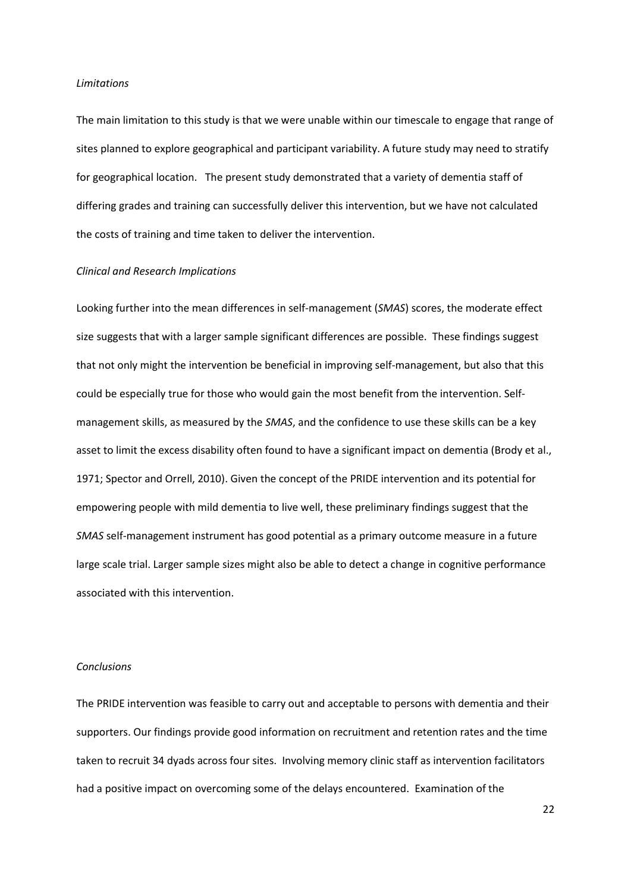#### *Limitations*

The main limitation to this study is that we were unable within our timescale to engage that range of sites planned to explore geographical and participant variability. A future study may need to stratify for geographical location. The present study demonstrated that a variety of dementia staff of differing grades and training can successfully deliver this intervention, but we have not calculated the costs of training and time taken to deliver the intervention.

## *Clinical and Research Implications*

Looking further into the mean differences in self-management (*SMAS*) scores, the moderate effect size suggests that with a larger sample significant differences are possible. These findings suggest that not only might the intervention be beneficial in improving self-management, but also that this could be especially true for those who would gain the most benefit from the intervention. Selfmanagement skills, as measured by the *SMAS*, and the confidence to use these skills can be a key asset to limit the excess disability often found to have a significant impact on dementia (Brody et al., 1971; Spector and Orrell, 2010). Given the concept of the PRIDE intervention and its potential for empowering people with mild dementia to live well, these preliminary findings suggest that the *SMAS* self-management instrument has good potential as a primary outcome measure in a future large scale trial. Larger sample sizes might also be able to detect a change in cognitive performance associated with this intervention.

# *Conclusions*

The PRIDE intervention was feasible to carry out and acceptable to persons with dementia and their supporters. Our findings provide good information on recruitment and retention rates and the time taken to recruit 34 dyads across four sites. Involving memory clinic staff as intervention facilitators had a positive impact on overcoming some of the delays encountered. Examination of the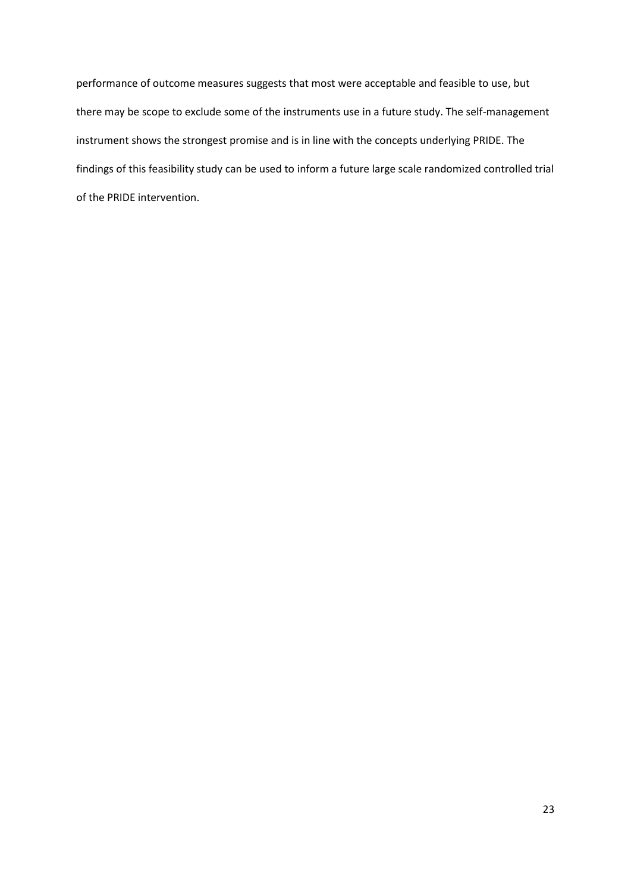performance of outcome measures suggests that most were acceptable and feasible to use, but there may be scope to exclude some of the instruments use in a future study. The self-management instrument shows the strongest promise and is in line with the concepts underlying PRIDE. The findings of this feasibility study can be used to inform a future large scale randomized controlled trial of the PRIDE intervention.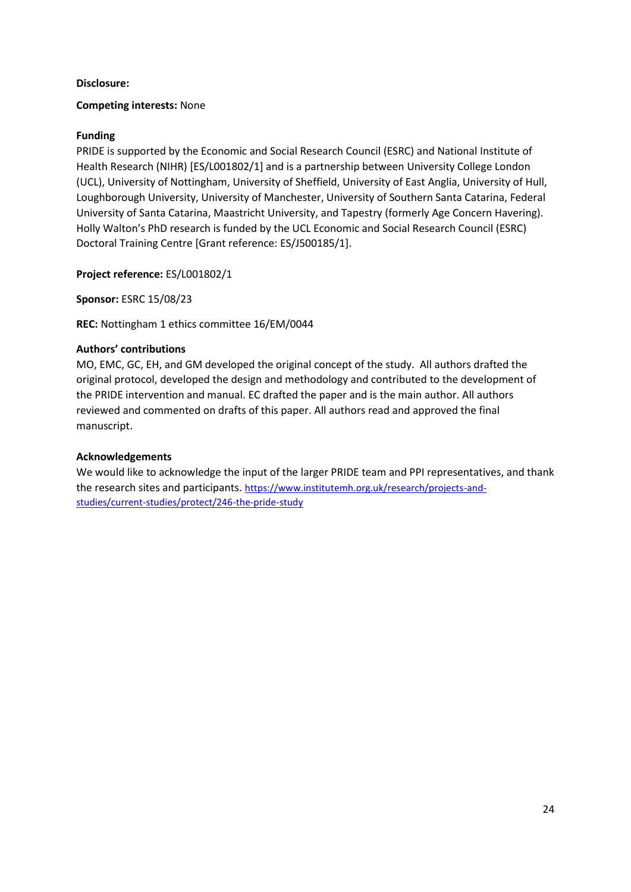# **Disclosure:**

# **Competing interests:** None

# **Funding**

PRIDE is supported by the Economic and Social Research Council (ESRC) and National Institute of Health Research (NIHR) [ES/L001802/1] and is a partnership between University College London (UCL), University of Nottingham, University of Sheffield, University of East Anglia, University of Hull, Loughborough University, University of Manchester, University of Southern Santa Catarina, Federal University of Santa Catarina, Maastricht University, and Tapestry (formerly Age Concern Havering). Holly Walton's PhD research is funded by the UCL Economic and Social Research Council (ESRC) Doctoral Training Centre [Grant reference: ES/J500185/1].

**Project reference:** ES/L001802/1

**Sponsor:** ESRC 15/08/23

**REC:** Nottingham 1 ethics committee 16/EM/0044

# **Authors' contributions**

MO, EMC, GC, EH, and GM developed the original concept of the study. All authors drafted the original protocol, developed the design and methodology and contributed to the development of the PRIDE intervention and manual. EC drafted the paper and is the main author. All authors reviewed and commented on drafts of this paper. All authors read and approved the final manuscript.

# **Acknowledgements**

We would like to acknowledge the input of the larger PRIDE team and PPI representatives, and thank the research sites and participants. [https://www.institutemh.org.uk/research/projects-and](https://www.institutemh.org.uk/research/projects-and-studies/current-studies/protect/246-the-pride-study)[studies/current-studies/protect/246-the-pride-study](https://www.institutemh.org.uk/research/projects-and-studies/current-studies/protect/246-the-pride-study)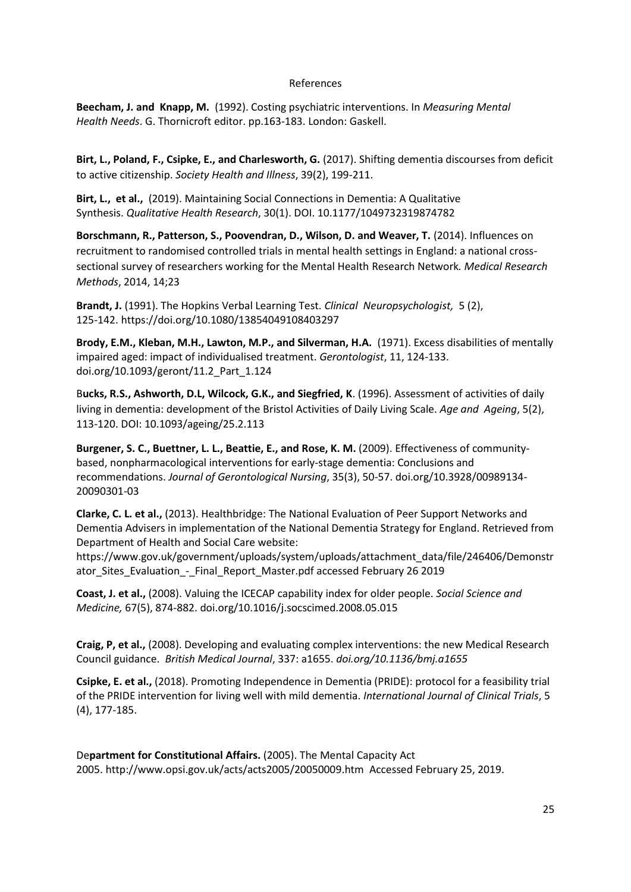# References

**Beecham, J. and Knapp, M.** (1992). Costing psychiatric interventions. In *Measuring Mental Health Needs*. G. Thornicroft editor. pp.163-183. London: Gaskell.

**Birt, L., Poland, F., Csipke, E., and Charlesworth, G.** (2017). Shifting dementia discourses from deficit to active citizenship. *Society Health and Illness*, 39(2), 199-211.

**Birt, L., et al.,** (2019). Maintaining Social Connections in Dementia: A Qualitative Synthesis. *Qualitative Health Research*, 30(1). DOI[. 10.1177/1049732319874782](https://www.researchgate.net/deref/http%3A%2F%2Fdx.doi.org%2F10.1177%2F1049732319874782)

**Borschmann, R., Patterson, S., Poovendran, D., Wilson, D. and Weaver, T.** (2014). Influences on recruitment to randomised controlled trials in mental health settings in England: a national crosssectional survey of researchers working for the Mental Health Research Network*. Medical Research Methods*, 2014, 14;23

**Brandt, J.** (1991). The Hopkins Verbal Learning Test. *[Clinical Neuropsychologist,](https://www.tandfonline.com/toc/ntcn19/current)* 5 (2), 125-142.<https://doi.org/10.1080/13854049108403297>

**Brody, E.M., Kleban, M.H., Lawton, M.P., and Silverman, H.A.** (1971). Excess disabilities of mentally impaired aged: impact of individualised treatment. *Gerontologist*, 11, 124-133. [doi.org/10.1093/geront/11.2\\_Part\\_1.124](https://doi.org/10.1093/geront/11.2_Part_1.124)

B**ucks, R.S., Ashworth, D.L, Wilcock, G.K., and Siegfried, K**. (1996). Assessment of activities of daily living in dementia: development of the Bristol Activities of Daily Living Scale. *Age and Ageing*, 5(2), 113-120. DOI: [10.1093/ageing/25.2.113](https://doi.org/10.1093/ageing/25.2.113)

**Burgener, S. C., Buettner, L. L., Beattie, E., and Rose, K. M.** (2009). Effectiveness of communitybased, nonpharmacological interventions for early-stage dementia: Conclusions and recommendations. *Journal of Gerontological Nursing*, 35(3), 50-57. [doi.org/10.3928/00989134-](https://doi.org/10.3928/00989134-20090301-03) [20090301-03](https://doi.org/10.3928/00989134-20090301-03)

**Clarke, C. L. et al.,** (2013). Healthbridge: The National Evaluation of Peer Support Networks and Dementia Advisers in implementation of the National Dementia Strategy for England. Retrieved from Department of Health and Social Care website:

[https://www.gov.uk/government/uploads/system/uploads/attachment\\_data/file/246406/Demonstr](https://www.gov.uk/government/uploads/system/uploads/attachment_data/file/246406/Demonstrator_Sites_Evaluation_-_Final_Report_Master.pdf%20accessed%20February%2026%202019) ator Sites Evaluation - Final Report Master.pdf accessed February 26 2019

**Coast, J. et al.,** (2008). Valuing the ICECAP capability index for older people. *Social Science and Medicine,* 67(5), 874-882. [doi.org/10.1016/j.socscimed.2008.05.015](https://doi.org/10.1016/j.socscimed.2008.05.015)

**Craig, P, et al.,** (2008). Developing and evaluating complex interventions: the new Medical Research Council guidance. *British Medical Journal*, 337: a1655. *[doi.org/10.1136/bmj.a1655](https://doi.org/10.1136/bmj.a1655)*

**Csipke, E. et al.,** (2018). Promoting Independence in Dementia (PRIDE): protocol for a feasibility trial of the PRIDE intervention for living well with mild dementia. *International Journal of Clinical Trials*, 5 (4), 177-185.

De**partment for Constitutional Affairs.** (2005). The Mental Capacity Act 2005. http://www.opsi.gov.uk/acts/acts2005/20050009.htm Accessed February 25, 2019.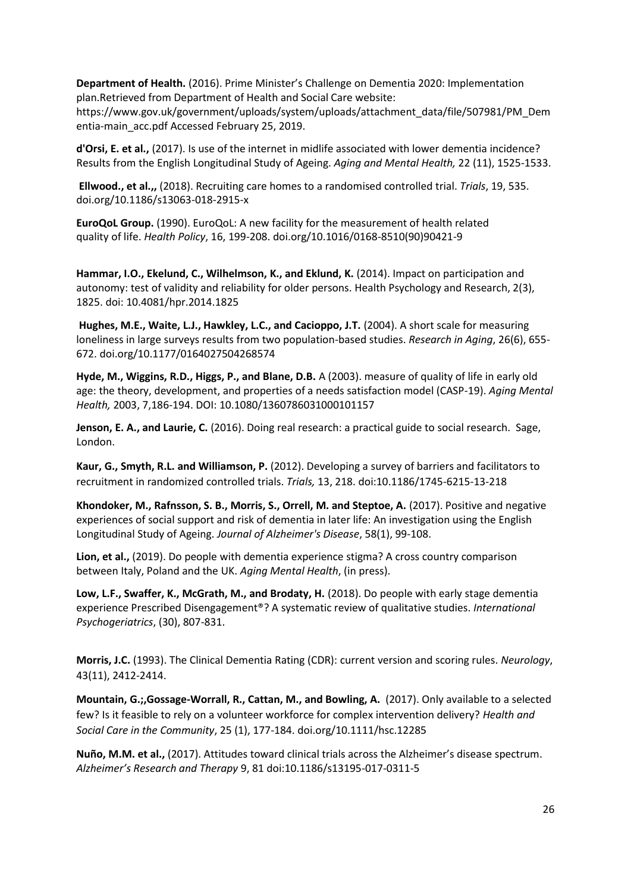**Department of Health.** (2016). Prime Minister's Challenge on Dementia 2020: Implementation plan.Retrieved from Department of Health and Social Care website:

[https://www.gov.uk/government/uploads/system/uploads/attachment\\_data/file/507981/PM\\_Dem](https://www.gov.uk/government/uploads/system/uploads/attachment_data/file/507981/PM_Dementia-main_acc.pdf%20Accessed%20February%2025) [entia-main\\_acc.pdf Accessed February 25,](https://www.gov.uk/government/uploads/system/uploads/attachment_data/file/507981/PM_Dementia-main_acc.pdf%20Accessed%20February%2025) 2019.

**d'Orsi, E. et al.,** (2017). Is use of the internet in midlife associated with lower dementia incidence? Results from the English Longitudinal Study of Ageing. *Aging and Mental Health,* 22 (11), 1525-1533.

**Ellwood., et al.,,** (2018). Recruiting care homes to a randomised controlled trial. *Trials*, 19, 535. [doi.org/10.1186/s13063-018-2915-x](https://doi.org/10.1186/s13063-018-2915-x)

**EuroQoL Group.** (1990). EuroQoL: A new facility for the measurement of health related quality of life. *Health Policy*, 16, 199-208[. doi.org/10.1016/0168-8510\(90\)90421-9](https://doi.org/10.1016/0168-8510(90)90421-9)

**Hammar, I.O., Ekelund, C., Wilhelmson, K., and Eklund, K.** (2014). Impact on participation and autonomy: test of validity and reliability for older persons. Health Psychology and Research, 2(3), 1825. doi: [10.4081/hpr.2014.1825](https://dx.doi.org/10.4081%2Fhpr.2014.1825)

**Hughes, M.E., Waite, L.J., Hawkley, L.C., and Cacioppo, J.T.** (2004). A short scale for measuring loneliness in large surveys results from two population-based studies. *Research in Aging*, 26(6), 655- 672. [doi.org/10.1177/0164027504268574](https://doi.org/10.1177%2F0164027504268574)

**Hyde, M., Wiggins, R.D., Higgs, P., and Blane, D.B.** A (2003). measure of quality of life in early old age: the theory, development, and properties of a needs satisfaction model (CASP-19). *Aging Mental Health,* 2003, 7,186-194. DOI: [10.1080/1360786031000101157](https://doi.org/10.1080/1360786031000101157)

**Jenson, E. A., and Laurie, C.** (2016). Doing real research: a practical guide to social research. Sage, London.

**Kaur, G., Smyth, R.L. and Williamson, P.** (2012). Developing a survey of barriers and facilitators to recruitment in randomized controlled trials. *Trials,* 13, 218. doi:10.1186/1745-6215-13-218

**Khondoker, M., Rafnsson, S. B., Morris, S., Orrell, M. and Steptoe, A.** (2017). Positive and negative experiences of social support and risk of dementia in later life: An investigation using the English Longitudinal Study of Ageing. *Journal of Alzheimer's Disease*, 58(1), 99-108.

**Lion, et al.,** (2019). Do people with dementia experience stigma? A cross country comparison between Italy, Poland and the UK. *Aging Mental Health*, (in press).

**Low, L.F., Swaffer, K., McGrath, M., and Brodaty, H.** (2018). Do people with early stage dementia experience Prescribed Disengagement®? A systematic review of qualitative studies. *International Psychogeriatrics*, (30), 807-831.

**Morris, J.C.** (1993). The Clinical Dementia Rating (CDR): current version and scoring rules. *Neurology*, 43(11), 2412-2414.

**Mountain, G.;,Gossage-Worrall, R., Cattan, M., and Bowling, A.** (2017). Only available to a selected few? Is it feasible to rely on a volunteer workforce for complex intervention delivery? *Health and Social Care in the Community*, 25 (1), 177-184[. doi.org/10.1111/hsc.12285](https://doi.org/10.1111/hsc.12285)

**Nuño, M.M. et al.,** (2017). Attitudes toward clinical trials across the Alzheimer's disease spectrum. *Alzheimer's Research and Therapy* 9, 81 doi:10.1186/s13195-017-0311-5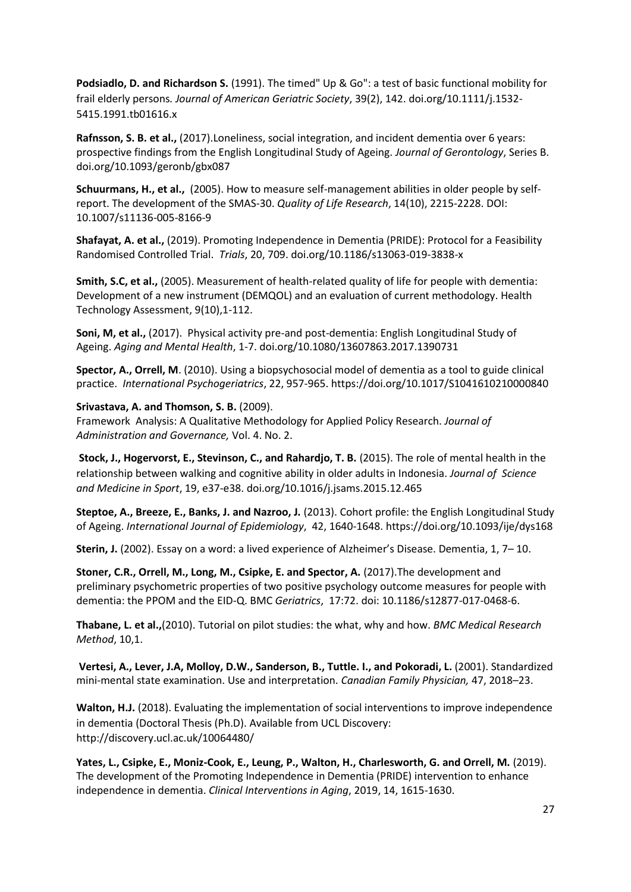**Podsiadlo, D. and Richardson S.** (1991). The timed" Up & Go": a test of basic functional mobility for frail elderly persons*. Journal of American Geriatric Society*, 39(2), 142. [doi.org/10.1111/j.1532-](https://doi.org/10.1111/j.1532-5415.1991.tb01616.x) [5415.1991.tb01616.x](https://doi.org/10.1111/j.1532-5415.1991.tb01616.x)

**Rafnsson, S. B. et al.,** (2017).Loneliness, social integration, and incident dementia over 6 years: prospective findings from the English Longitudinal Study of Ageing. *Journal of Gerontology*, Series B. [doi.org/10.1093/geronb/gbx087](https://doi.org/10.1093/geronb/gbx087)

**Schuurmans, H., et al.,** (2005). How to measure self-management abilities in older people by selfreport. The development of the SMAS-30. *Quality of Life Research*, 14(10), 2215-2228. DOI: [10.1007/s11136-005-8166-9](https://doi.org/10.1007/s11136-005-8166-9)

**Shafayat, A. et al.,** (2019). Promoting Independence in Dementia (PRIDE): Protocol for a Feasibility Randomised Controlled Trial. *Trials*, 20, 709. doi.org/10.1186/s13063-019-3838-x

**Smith, S.C, et al.,** (2005). Measurement of health-related quality of life for people with dementia: Development of a new instrument (DEMQOL) and an evaluation of current methodology. Health Technology Assessment, 9(10),1-112.

**Soni, M, et al.,** (2017). Physical activity pre-and post-dementia: English Longitudinal Study of Ageing. *Aging and Mental Health*, 1-7. [doi.org/10.1080/13607863.2017.1390731](https://doi.org/10.1080/13607863.2017.1390731)

**Spector, A., Orrell, M**. (2010). Using a biopsychosocial model of dementia as a tool to guide clinical practice. *International Psychogeriatrics*, 22, 957-965. https://doi.org/10.1017/S1041610210000840

# **Srivastava, A. and Thomson, S. B.** (2009).

Framework Analysis: A Qualitative Methodology for Applied Policy Research. *Journal of Administration and Governance,* Vol. 4. No. 2.

**Stock, J., Hogervorst, E., Stevinson, C., and Rahardjo, T. B.** (2015). The role of mental health in the relationship between walking and cognitive ability in older adults in Indonesia. *Journal of Science and Medicine in Sport*, 19, e37-e38[. doi.org/10.1016/j.jsams.2015.12.465](https://doi.org/10.1016/j.jsams.2015.12.465)

**Steptoe, A., Breeze, E., Banks, J. and Nazroo, J.** (2013). Cohort profile: the English Longitudinal Study of Ageing. *International Journal of Epidemiology*, 42, 1640-1648.<https://doi.org/10.1093/ije/dys168>

**Sterin, J.** (2002). Essay on a word: a lived experience of Alzheimer's Disease. Dementia, 1, 7– 10.

**Stoner, C.R., Orrell, M., Long, M., Csipke, E. and Spector, A.** (2017).The development and preliminary psychometric properties of two positive psychology outcome measures for people with dementia: the PPOM and the EID-Q. BMC *Geriatrics*, 17:72. doi: 10.1186/s12877-017-0468-6.

**Thabane, L. et al.,**(2010). Tutorial on pilot studies: the what, why and how. *BMC Medical Research Method*, 10,1.

**Vertesi, A., Lever, J.A, Molloy, D.W., Sanderson, B., Tuttle. I., and Pokoradi, L.** (2001). Standardized mini-mental state examination. Use and interpretation. *Canadian Family Physician,* 47, 2018–23.

**Walton, H.J.** (2018). Evaluating the implementation of social interventions to improve independence in dementia (Doctoral Thesis (Ph.D). Available from UCL Discovery: <http://discovery.ucl.ac.uk/10064480/>

Yates, L., Csipke, E., Moniz-Cook, E., Leung, P., Walton, H., Charlesworth, G. and Orrell, M. (2019). The development of the Promoting Independence in Dementia (PRIDE) intervention to enhance independence in dementia. *Clinical Interventions in Aging*, 2019, 14, 1615-1630.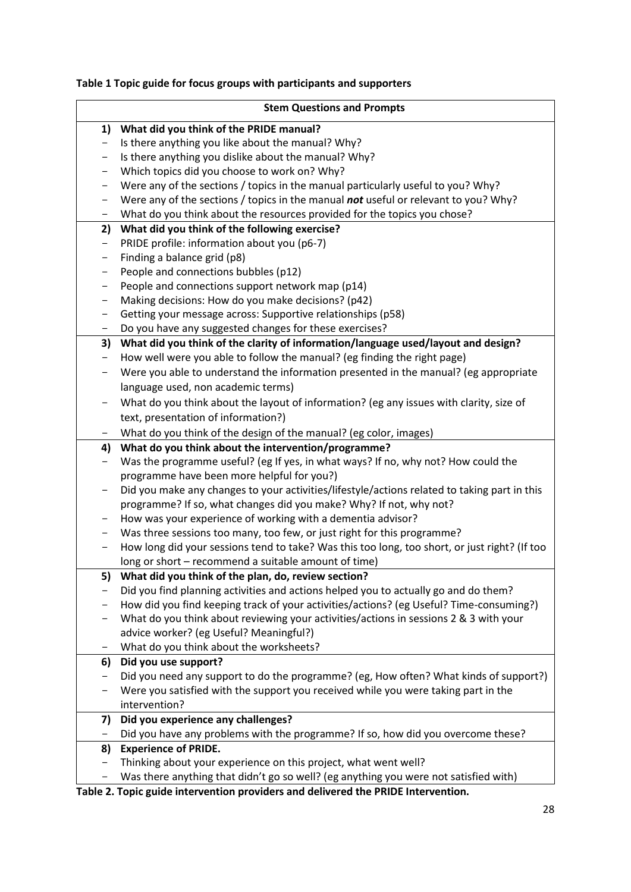# **Table 1 Topic guide for focus groups with participants and supporters**

|                   | <b>Stem Questions and Prompts</b>                                                             |
|-------------------|-----------------------------------------------------------------------------------------------|
| 1)                | What did you think of the PRIDE manual?                                                       |
| $\qquad \qquad -$ | Is there anything you like about the manual? Why?                                             |
|                   | Is there anything you dislike about the manual? Why?                                          |
| -                 | Which topics did you choose to work on? Why?                                                  |
| -                 | Were any of the sections / topics in the manual particularly useful to you? Why?              |
|                   | Were any of the sections / topics in the manual not useful or relevant to you? Why?           |
| -                 | What do you think about the resources provided for the topics you chose?                      |
| 2)                | What did you think of the following exercise?                                                 |
| $\qquad \qquad -$ | PRIDE profile: information about you (p6-7)                                                   |
| $\qquad \qquad -$ | Finding a balance grid (p8)                                                                   |
|                   | People and connections bubbles (p12)                                                          |
| -                 | People and connections support network map (p14)                                              |
| -                 | Making decisions: How do you make decisions? (p42)                                            |
| -                 | Getting your message across: Supportive relationships (p58)                                   |
|                   | Do you have any suggested changes for these exercises?                                        |
| 3)                | What did you think of the clarity of information/language used/layout and design?             |
| -                 | How well were you able to follow the manual? (eg finding the right page)                      |
| -                 | Were you able to understand the information presented in the manual? (eg appropriate          |
|                   | language used, non academic terms)                                                            |
| -                 | What do you think about the layout of information? (eg any issues with clarity, size of       |
|                   | text, presentation of information?)                                                           |
| -                 | What do you think of the design of the manual? (eg color, images)                             |
| 4)                | What do you think about the intervention/programme?                                           |
| -                 | Was the programme useful? (eg If yes, in what ways? If no, why not? How could the             |
|                   | programme have been more helpful for you?)                                                    |
| -                 | Did you make any changes to your activities/lifestyle/actions related to taking part in this  |
|                   | programme? If so, what changes did you make? Why? If not, why not?                            |
|                   | How was your experience of working with a dementia advisor?                                   |
|                   | Was three sessions too many, too few, or just right for this programme?                       |
| -                 | How long did your sessions tend to take? Was this too long, too short, or just right? (If too |
|                   | long or short - recommend a suitable amount of time)                                          |
| 5)                | What did you think of the plan, do, review section?                                           |
|                   | Did you find planning activities and actions helped you to actually go and do them?           |
|                   | How did you find keeping track of your activities/actions? (eg Useful? Time-consuming?)       |
|                   | What do you think about reviewing your activities/actions in sessions 2 & 3 with your         |
|                   | advice worker? (eg Useful? Meaningful?)                                                       |
| —                 | What do you think about the worksheets?                                                       |
| 6)                | Did you use support?                                                                          |
|                   | Did you need any support to do the programme? (eg, How often? What kinds of support?)         |
|                   | Were you satisfied with the support you received while you were taking part in the            |
|                   | intervention?                                                                                 |
| 7)                | Did you experience any challenges?                                                            |
| -                 | Did you have any problems with the programme? If so, how did you overcome these?              |
| 8)                | <b>Experience of PRIDE.</b>                                                                   |
| -                 | Thinking about your experience on this project, what went well?                               |
| -                 | Was there anything that didn't go so well? (eg anything you were not satisfied with)          |

**Table 2. Topic guide intervention providers and delivered the PRIDE Intervention.**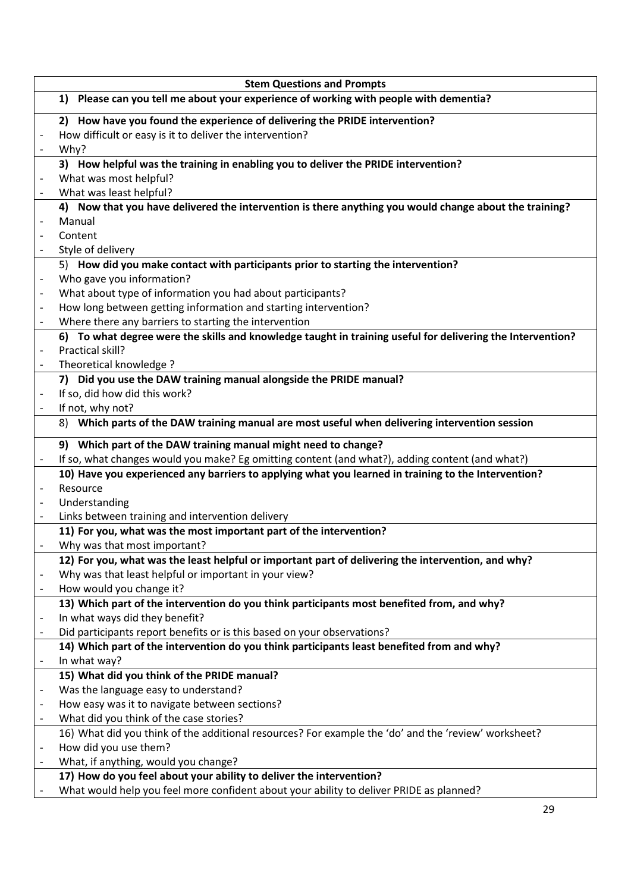|                                                                                       | <b>Stem Questions and Prompts</b>                                                                          |  |  |
|---------------------------------------------------------------------------------------|------------------------------------------------------------------------------------------------------------|--|--|
| 1) Please can you tell me about your experience of working with people with dementia? |                                                                                                            |  |  |
|                                                                                       | 2) How have you found the experience of delivering the PRIDE intervention?                                 |  |  |
| $\qquad \qquad \blacksquare$                                                          | How difficult or easy is it to deliver the intervention?                                                   |  |  |
|                                                                                       | Why?                                                                                                       |  |  |
|                                                                                       | 3) How helpful was the training in enabling you to deliver the PRIDE intervention?                         |  |  |
|                                                                                       | What was most helpful?                                                                                     |  |  |
| $\overline{\phantom{a}}$                                                              | What was least helpful?                                                                                    |  |  |
|                                                                                       | 4) Now that you have delivered the intervention is there anything you would change about the training?     |  |  |
|                                                                                       | Manual                                                                                                     |  |  |
|                                                                                       | Content                                                                                                    |  |  |
| $\overline{\phantom{a}}$                                                              | Style of delivery                                                                                          |  |  |
|                                                                                       | 5) How did you make contact with participants prior to starting the intervention?                          |  |  |
| $\overline{\phantom{a}}$                                                              | Who gave you information?                                                                                  |  |  |
| $\overline{\phantom{a}}$                                                              | What about type of information you had about participants?                                                 |  |  |
|                                                                                       | How long between getting information and starting intervention?                                            |  |  |
| $\overline{\phantom{a}}$                                                              | Where there any barriers to starting the intervention                                                      |  |  |
|                                                                                       | 6) To what degree were the skills and knowledge taught in training useful for delivering the Intervention? |  |  |
| $\overline{\phantom{a}}$                                                              | Practical skill?                                                                                           |  |  |
|                                                                                       | Theoretical knowledge ?                                                                                    |  |  |
|                                                                                       | 7) Did you use the DAW training manual alongside the PRIDE manual?                                         |  |  |
|                                                                                       | If so, did how did this work?                                                                              |  |  |
| $\overline{\phantom{a}}$                                                              | If not, why not?                                                                                           |  |  |
|                                                                                       | 8) Which parts of the DAW training manual are most useful when delivering intervention session             |  |  |
|                                                                                       | 9) Which part of the DAW training manual might need to change?                                             |  |  |
| $\overline{\phantom{a}}$                                                              | If so, what changes would you make? Eg omitting content (and what?), adding content (and what?)            |  |  |
|                                                                                       | 10) Have you experienced any barriers to applying what you learned in training to the Intervention?        |  |  |
|                                                                                       | Resource                                                                                                   |  |  |
| $\qquad \qquad \blacksquare$                                                          | Understanding<br>Links between training and intervention delivery                                          |  |  |
| $\qquad \qquad \blacksquare$                                                          | 11) For you, what was the most important part of the intervention?                                         |  |  |
|                                                                                       | Why was that most important?                                                                               |  |  |
|                                                                                       | 12) For you, what was the least helpful or important part of delivering the intervention, and why?         |  |  |
| $\overline{a}$                                                                        | Why was that least helpful or important in your view?                                                      |  |  |
|                                                                                       | How would you change it?                                                                                   |  |  |
|                                                                                       | 13) Which part of the intervention do you think participants most benefited from, and why?                 |  |  |
| $\qquad \qquad \blacksquare$                                                          | In what ways did they benefit?                                                                             |  |  |
| $\overline{\phantom{a}}$                                                              | Did participants report benefits or is this based on your observations?                                    |  |  |
|                                                                                       | 14) Which part of the intervention do you think participants least benefited from and why?                 |  |  |
| $\qquad \qquad -$                                                                     | In what way?                                                                                               |  |  |
|                                                                                       | 15) What did you think of the PRIDE manual?                                                                |  |  |
| $\qquad \qquad \blacksquare$                                                          | Was the language easy to understand?                                                                       |  |  |
| $\overline{\phantom{a}}$                                                              | How easy was it to navigate between sections?                                                              |  |  |
| $\overline{\phantom{m}}$                                                              | What did you think of the case stories?                                                                    |  |  |
|                                                                                       | 16) What did you think of the additional resources? For example the 'do' and the 'review' worksheet?       |  |  |
|                                                                                       | How did you use them?                                                                                      |  |  |
| $\overline{a}$                                                                        | What, if anything, would you change?                                                                       |  |  |
|                                                                                       | 17) How do you feel about your ability to deliver the intervention?                                        |  |  |
|                                                                                       | What would help you feel more confident about your ability to deliver PRIDE as planned?                    |  |  |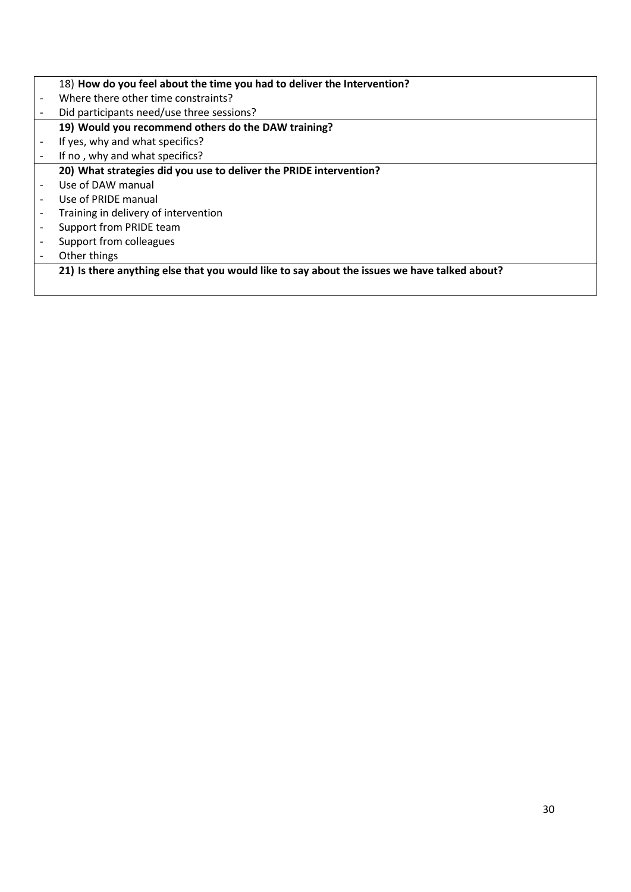|                          | 18) How do you feel about the time you had to deliver the Intervention?                      |
|--------------------------|----------------------------------------------------------------------------------------------|
| $\blacksquare$           | Where there other time constraints?                                                          |
|                          | Did participants need/use three sessions?                                                    |
|                          | 19) Would you recommend others do the DAW training?                                          |
|                          | If yes, why and what specifics?                                                              |
|                          | If no, why and what specifics?                                                               |
|                          | 20) What strategies did you use to deliver the PRIDE intervention?                           |
|                          | Use of DAW manual                                                                            |
|                          | Use of PRIDE manual                                                                          |
|                          | Training in delivery of intervention                                                         |
|                          | Support from PRIDE team                                                                      |
| $\overline{\phantom{a}}$ | Support from colleagues                                                                      |
|                          | Other things                                                                                 |
|                          | 21) Is there anything else that you would like to say about the issues we have talked about? |
|                          |                                                                                              |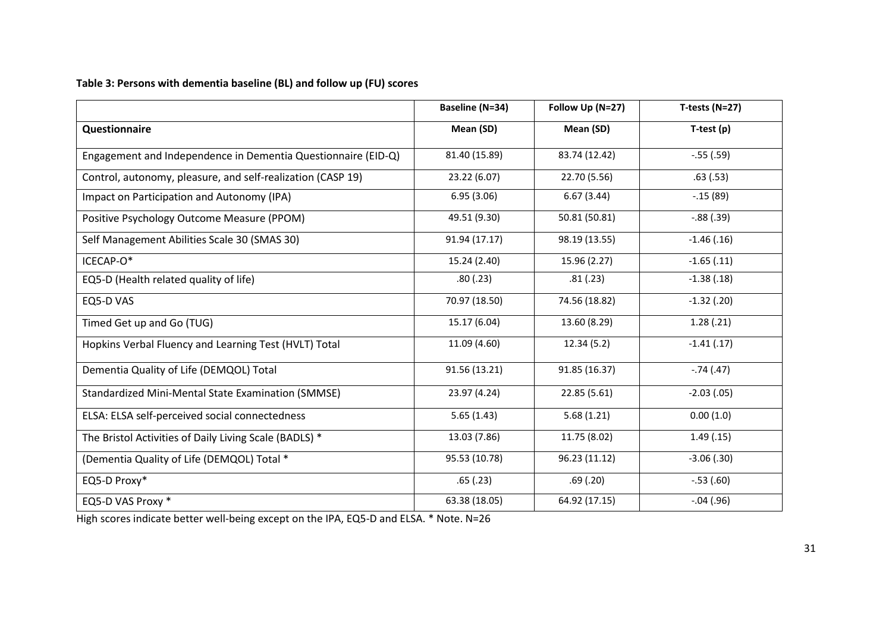# **Table 3: Persons with dementia baseline (BL) and follow up (FU) scores**

|                                                               | <b>Baseline (N=34)</b> | Follow Up (N=27) | T-tests ( $N=27$ ) |
|---------------------------------------------------------------|------------------------|------------------|--------------------|
| Questionnaire                                                 | Mean (SD)              | Mean (SD)        | $T-test(p)$        |
| Engagement and Independence in Dementia Questionnaire (EID-Q) | 81.40 (15.89)          | 83.74 (12.42)    | $-.55(.59)$        |
| Control, autonomy, pleasure, and self-realization (CASP 19)   | 23.22 (6.07)           | 22.70 (5.56)     | .63(.53)           |
| Impact on Participation and Autonomy (IPA)                    | 6.95(3.06)             | 6.67(3.44)       | $-.15(89)$         |
| Positive Psychology Outcome Measure (PPOM)                    | 49.51 (9.30)           | 50.81 (50.81)    | $-.88(.39)$        |
| Self Management Abilities Scale 30 (SMAS 30)                  | 91.94 (17.17)          | 98.19 (13.55)    | $-1.46(0.16)$      |
| ICECAP-O*                                                     | 15.24 (2.40)           | 15.96 (2.27)     | $-1.65$ $(.11)$    |
| EQ5-D (Health related quality of life)                        | .80(.23)               | .81(.23)         | $-1.38(.18)$       |
| EQ5-D VAS                                                     | 70.97 (18.50)          | 74.56 (18.82)    | $-1.32$ (.20)      |
| Timed Get up and Go (TUG)                                     | 15.17 (6.04)           | 13.60 (8.29)     | 1.28(.21)          |
| Hopkins Verbal Fluency and Learning Test (HVLT) Total         | 11.09 (4.60)           | 12.34(5.2)       | $-1.41(.17)$       |
| Dementia Quality of Life (DEMQOL) Total                       | 91.56 (13.21)          | 91.85 (16.37)    | $-.74(.47)$        |
| <b>Standardized Mini-Mental State Examination (SMMSE)</b>     | 23.97 (4.24)           | 22.85 (5.61)     | $-2.03(0.05)$      |
| ELSA: ELSA self-perceived social connectedness                | 5.65(1.43)             | 5.68(1.21)       | 0.00(1.0)          |
| The Bristol Activities of Daily Living Scale (BADLS) *        | 13.03 (7.86)           | 11.75 (8.02)     | 1.49(0.15)         |
| (Dementia Quality of Life (DEMQOL) Total *                    | 95.53 (10.78)          | 96.23 (11.12)    | $-3.06$ $(.30)$    |
| EQ5-D Proxy*                                                  | .65(.23)               | .69(.20)         | $-.53(.60)$        |
| EQ5-D VAS Proxy *                                             | 63.38 (18.05)          | 64.92 (17.15)    | $-.04(.96)$        |

High scores indicate better well-being except on the IPA, EQ5-D and ELSA. \* Note. N=26